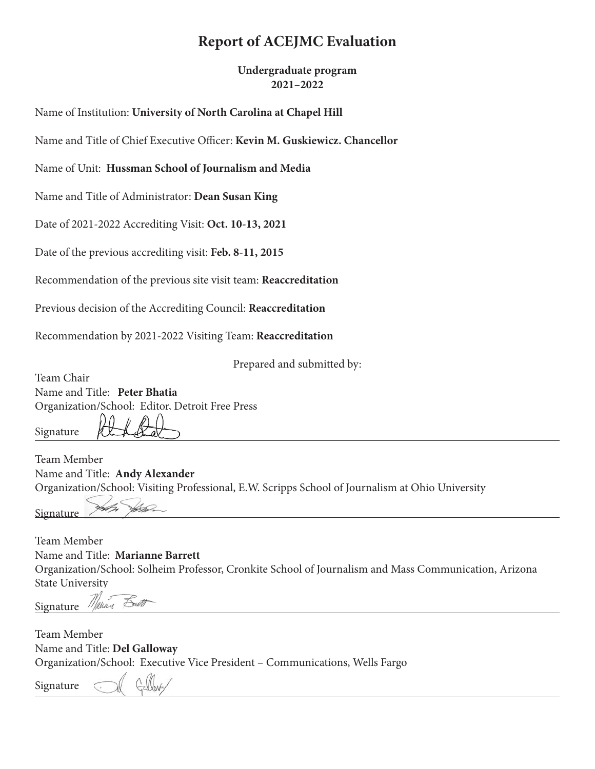# **Report of ACEJMC Evaluation**

**Undergraduate program 2021–2022**

Name of Institution: **University of North Carolina at Chapel Hill**

Name and Title of Chief Executive Officer: **Kevin M. Guskiewicz. Chancellor**

Name of Unit: **Hussman School of Journalism and Media**

Name and Title of Administrator: **Dean Susan King**

Date of 2021-2022 Accrediting Visit: **Oct. 10-13, 2021**

Date of the previous accrediting visit: **Feb. 8-11, 2015**

Recommendation of the previous site visit team: **Reaccreditation**

Previous decision of the Accrediting Council: **Reaccreditation**

Recommendation by 2021-2022 Visiting Team: **Reaccreditation**

Prepared and submitted by:

Team Chair Name and Title: **Peter Bhatia** Organization/School: Editor, Detroit Free Press

Signature

Team Member Name and Title: **Andy Alexander** Organization/School: Visiting Professional, E.W. Scripps School of Journalism at Ohio University

**Signature** 

Team Member Name and Title: **Marianne Barrett** Organization/School: Solheim Professor, Cronkite School of Journalism and Mass Communication, Arizona State University

Signature Marian

Team Member Name and Title: **Del Galloway** Organization/School: Executive Vice President – Communications, Wells Fargo

Signature

Fout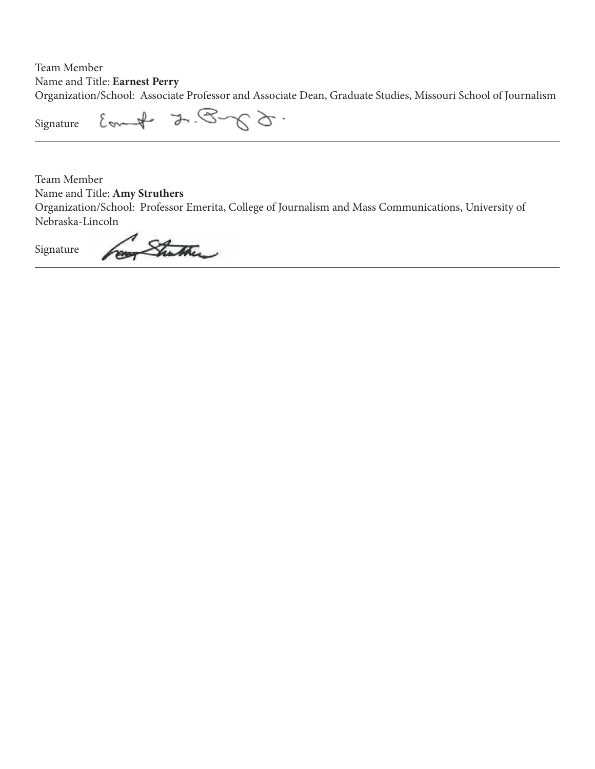Team Member Name and Title: **Earnest Perry** Organization/School: Associate Professor and Associate Dean, Graduate Studies, Missouri School of Journalism

 $-62\sqrt{2}+3\sqrt{4-10}$ Signature

Team Member Name and Title: **Amy Struthers**

Organization/School: Professor Emerita, College of Journalism and Mass Communications, University of Nebraska-Lincoln

Shuther Signature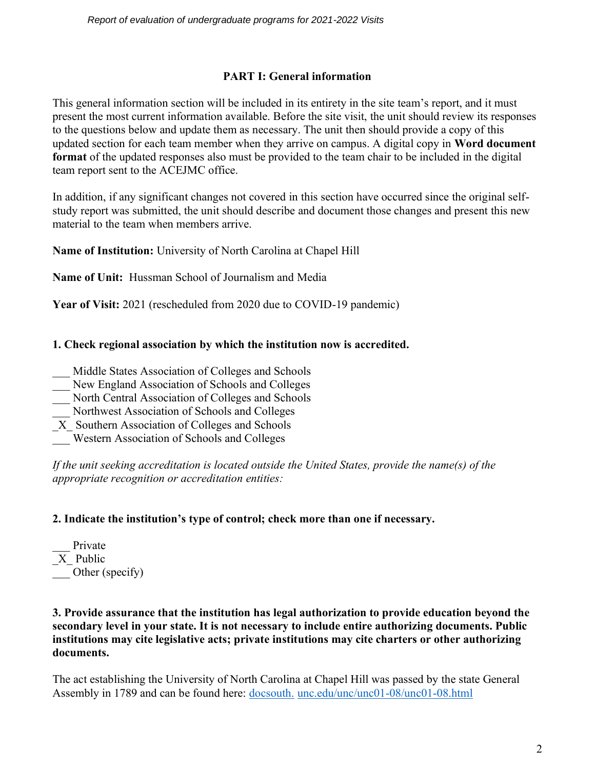### **PART I: General information**

This general information section will be included in its entirety in the site team's report, and it must present the most current information available. Before the site visit, the unit should review its responses to the questions below and update them as necessary. The unit then should provide a copy of this updated section for each team member when they arrive on campus. A digital copy in **Word document format** of the updated responses also must be provided to the team chair to be included in the digital team report sent to the ACEJMC office.

In addition, if any significant changes not covered in this section have occurred since the original selfstudy report was submitted, the unit should describe and document those changes and present this new material to the team when members arrive.

**Name of Institution:** University of North Carolina at Chapel Hill

**Name of Unit:** Hussman School of Journalism and Media

**Year of Visit:** 2021 (rescheduled from 2020 due to COVID-19 pandemic)

### **1. Check regional association by which the institution now is accredited.**

- Middle States Association of Colleges and Schools
- New England Association of Schools and Colleges
- \_\_\_ North Central Association of Colleges and Schools
- \_\_\_ Northwest Association of Schools and Colleges
- \_X\_ Southern Association of Colleges and Schools
- \_\_\_ Western Association of Schools and Colleges

*If the unit seeking accreditation is located outside the United States, provide the name(s) of the appropriate recognition or accreditation entities:* 

## **2. Indicate the institution's type of control; check more than one if necessary.**

Private X Public Other (specify)

#### **3. Provide assurance that the institution has legal authorization to provide education beyond the secondary level in your state. It is not necessary to include entire authorizing documents. Public institutions may cite legislative acts; private institutions may cite charters or other authorizing documents.**

The act establishing the University of North Carolina at Chapel Hill was passed by the state General Assembly in 1789 and can be found here: [docsouth.](http://docsouth.unc.edu/unc/unc01-08/unc01-08.html) [unc.edu/unc/unc01-08/unc01-08.html](http://docsouth.unc.edu/unc/unc01-08/unc01-08.html)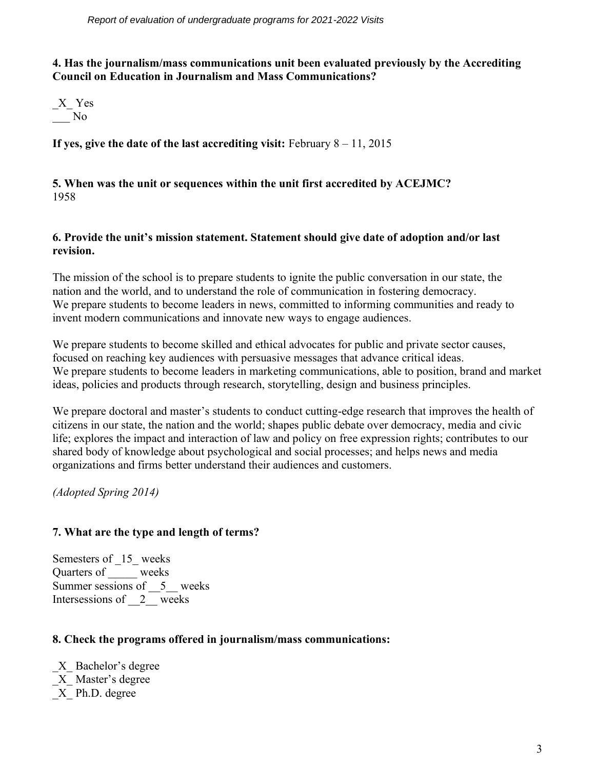#### **4. Has the journalism/mass communications unit been evaluated previously by the Accrediting Council on Education in Journalism and Mass Communications?**



**If yes, give the date of the last accrediting visit:** February 8 – 11, 2015

#### **5. When was the unit or sequences within the unit first accredited by ACEJMC?** 1958

#### **6. Provide the unit's mission statement. Statement should give date of adoption and/or last revision.**

The mission of the school is to prepare students to ignite the public conversation in our state, the nation and the world, and to understand the role of communication in fostering democracy. We prepare students to become leaders in news, committed to informing communities and ready to invent modern communications and innovate new ways to engage audiences.

We prepare students to become skilled and ethical advocates for public and private sector causes, focused on reaching key audiences with persuasive messages that advance critical ideas. We prepare students to become leaders in marketing communications, able to position, brand and market ideas, policies and products through research, storytelling, design and business principles.

We prepare doctoral and master's students to conduct cutting-edge research that improves the health of citizens in our state, the nation and the world; shapes public debate over democracy, media and civic life; explores the impact and interaction of law and policy on free expression rights; contributes to our shared body of knowledge about psychological and social processes; and helps news and media organizations and firms better understand their audiences and customers.

*(Adopted Spring 2014)*

#### **7. What are the type and length of terms?**

Semesters of \_15\_ weeks Quarters of  $\frac{\overline{\phantom{a}}}{\phantom{a}}$  weeks Summer sessions of  $\quad 5$  weeks Intersessions of  $2$  weeks

#### **8. Check the programs offered in journalism/mass communications:**

\_X\_ Bachelor's degree \_X\_ Master's degree \_X\_ Ph.D. degree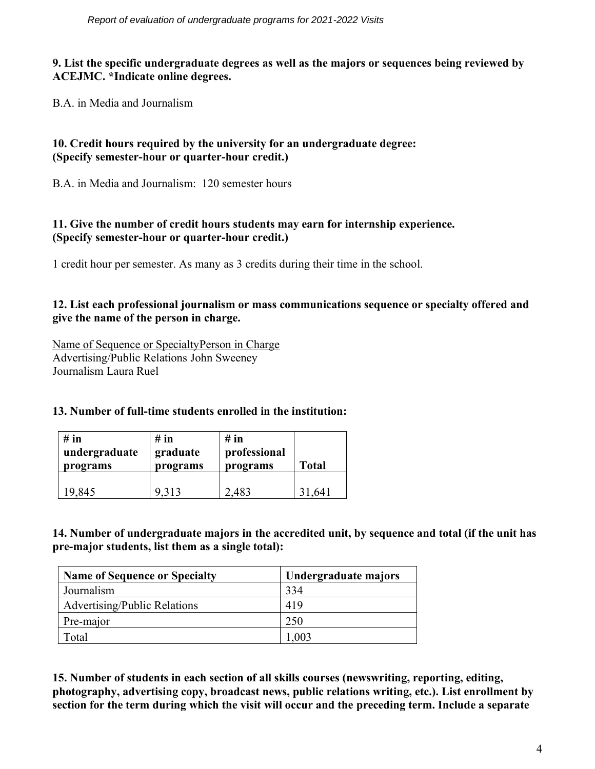#### **9. List the specific undergraduate degrees as well as the majors or sequences being reviewed by ACEJMC. \*Indicate online degrees.**

B.A. in Media and Journalism

### **10. Credit hours required by the university for an undergraduate degree: (Specify semester-hour or quarter-hour credit.)**

B.A. in Media and Journalism: 120 semester hours

#### **11. Give the number of credit hours students may earn for internship experience. (Specify semester-hour or quarter-hour credit.)**

1 credit hour per semester. As many as 3 credits during their time in the school.

#### **12. List each professional journalism or mass communications sequence or specialty offered and give the name of the person in charge.**

Name of Sequence or SpecialtyPerson in Charge Advertising/Public Relations John Sweeney Journalism Laura Ruel

#### **13. Number of full-time students enrolled in the institution:**

| # in          | $#$ in   | $#$ in       | <b>Total</b> |
|---------------|----------|--------------|--------------|
| undergraduate | graduate | professional |              |
| programs      | programs | programs     |              |
| 19,845        | 9313     | 2.483        | .641         |

**14. Number of undergraduate majors in the accredited unit, by sequence and total (if the unit has pre-major students, list them as a single total):**

| <b>Name of Sequence or Specialty</b> | Undergraduate majors |
|--------------------------------------|----------------------|
| Journalism                           | 334                  |
| <b>Advertising/Public Relations</b>  | 419                  |
| Pre-major                            | 250                  |
| Total                                | .003                 |

**15. Number of students in each section of all skills courses (newswriting, reporting, editing, photography, advertising copy, broadcast news, public relations writing, etc.). List enrollment by section for the term during which the visit will occur and the preceding term. Include a separate**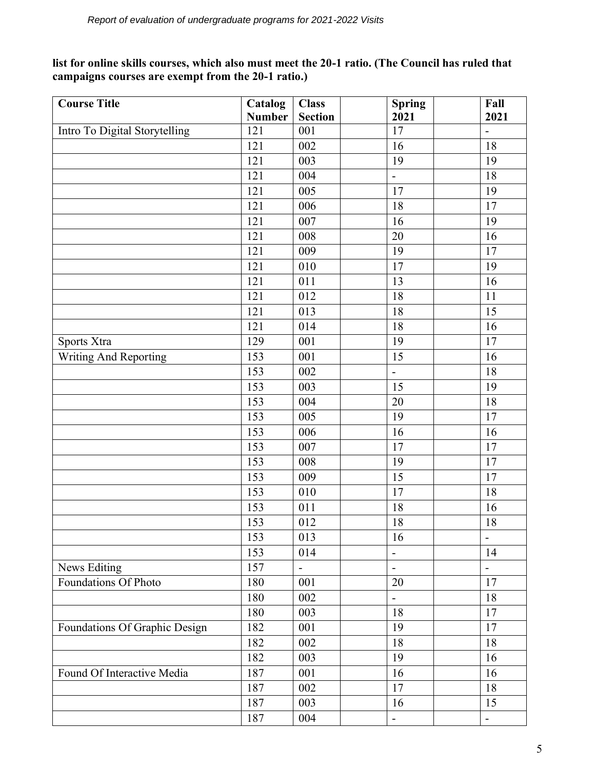**list for online skills courses, which also must meet the 20-1 ratio. (The Council has ruled that campaigns courses are exempt from the 20-1 ratio.)**

| <b>Course Title</b>           | Catalog       | <b>Class</b>             | <b>Spring</b>  | Fall                     |
|-------------------------------|---------------|--------------------------|----------------|--------------------------|
|                               | <b>Number</b> | <b>Section</b>           | 2021           | 2021                     |
| Intro To Digital Storytelling | 121           | 001                      | 17             | $\overline{\phantom{a}}$ |
|                               | 121           | 002                      | 16             | 18                       |
|                               | 121           | 003                      | 19             | 19                       |
|                               | 121           | 004                      | $\blacksquare$ | 18                       |
|                               | 121           | 005                      | 17             | 19                       |
|                               | 121           | 006                      | 18             | 17                       |
|                               | 121           | 007                      | 16             | 19                       |
|                               | 121           | 008                      | 20             | 16                       |
|                               | 121           | 009                      | 19             | 17                       |
|                               | 121           | 010                      | $17\,$         | 19                       |
|                               | 121           | 011                      | 13             | 16                       |
|                               | 121           | 012                      | 18             | 11                       |
|                               | 121           | 013                      | $18\,$         | 15                       |
|                               | 121           | 014                      | 18             | 16                       |
| Sports Xtra                   | 129           | 001                      | 19             | 17                       |
| Writing And Reporting         | 153           | 001                      | 15             | 16                       |
|                               | 153           | 002                      | $\blacksquare$ | 18                       |
|                               | 153           | 003                      | 15             | 19                       |
|                               | 153           | 004                      | 20             | 18                       |
|                               | 153           | 005                      | 19             | 17                       |
|                               | 153           | 006                      | 16             | 16                       |
|                               | 153           | 007                      | 17             | 17                       |
|                               | 153           | 008                      | 19             | 17                       |
|                               | 153           | 009                      | 15             | 17                       |
|                               | 153           | 010                      | 17             | 18                       |
|                               | 153           | 011                      | 18             | 16                       |
|                               | 153           | 012                      | 18             | 18                       |
|                               | 153           | 013                      | 16             | $\overline{\phantom{0}}$ |
|                               | 153           | 014                      | $\blacksquare$ | 14                       |
| <b>News Editing</b>           | 157           | $\overline{\phantom{0}}$ | $\blacksquare$ | $\blacksquare$           |
| Foundations Of Photo          | 180           | 001                      | 20             | 17                       |
|                               | 180           | 002                      | $\blacksquare$ | 18                       |
|                               | 180           | 003                      | 18             | 17                       |
| Foundations Of Graphic Design | 182           | 001                      | 19             | 17                       |
|                               | 182           | 002                      | 18             | 18                       |
|                               | 182           | 003                      | 19             | 16                       |
| Found Of Interactive Media    | 187           | 001                      | 16             | 16                       |
|                               | 187           | 002                      | 17             | 18                       |
|                               | 187           | 003                      | 16             | 15                       |
|                               | 187           | 004                      | $\blacksquare$ | $\overline{\phantom{a}}$ |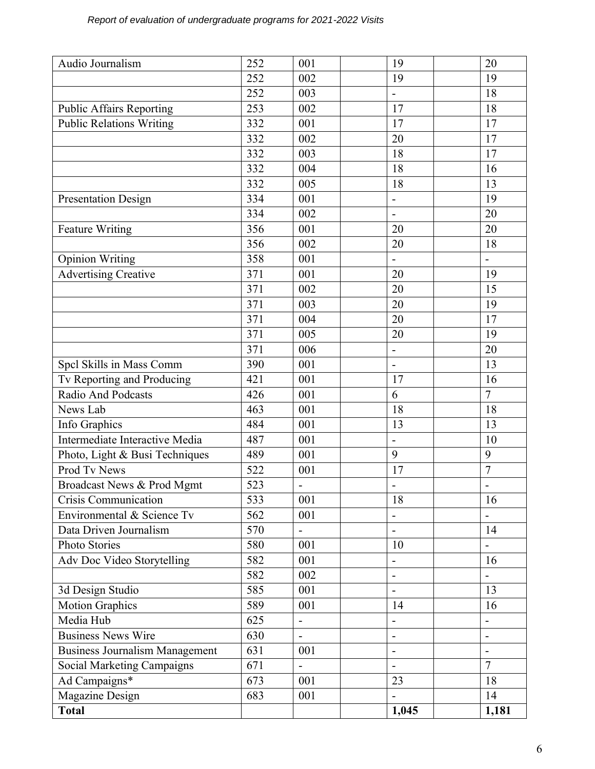| 252<br>002<br>19<br>19<br>003<br>252<br>18<br>$\blacksquare$<br>253<br>002<br>17<br>18<br><b>Public Affairs Reporting</b><br><b>Public Relations Writing</b><br>17<br>332<br>001<br>17<br>332<br>20<br>17<br>002<br>003<br>332<br>18<br>17<br>332<br>004<br>18<br>16<br>332<br>005<br>18<br>13<br>334<br>001<br>19<br><b>Presentation Design</b><br>$\overline{a}$<br>334<br>002<br>20<br>$\blacksquare$<br>356<br>001<br><b>Feature Writing</b><br>20<br>20<br>356<br>002<br>20<br>18<br>358<br><b>Opinion Writing</b><br>001<br>$\blacksquare$<br>$\overline{a}$<br><b>Advertising Creative</b><br>371<br>001<br>20<br>19<br>371<br>15<br>002<br>20<br>371<br>003<br>19<br>20<br>371<br>20<br>17<br>004<br>371<br>005<br>19<br>20<br>371<br>006<br>20<br>$\blacksquare$<br>390<br>001<br>13<br>Spcl Skills in Mass Comm<br>$\blacksquare$<br>Tv Reporting and Producing<br>421<br>001<br>17<br>16<br>$\overline{7}$<br><b>Radio And Podcasts</b><br>426<br>6<br>001<br>463<br>News Lab<br>001<br>18<br>18<br>Info Graphics<br>13<br>484<br>001<br>13<br>487<br>Intermediate Interactive Media<br>001<br>10<br>$\blacksquare$<br>Photo, Light & Busi Techniques<br>9<br>9<br>489<br>001<br>$\overline{7}$<br>Prod Tv News<br>522<br>17<br>001 |
|------------------------------------------------------------------------------------------------------------------------------------------------------------------------------------------------------------------------------------------------------------------------------------------------------------------------------------------------------------------------------------------------------------------------------------------------------------------------------------------------------------------------------------------------------------------------------------------------------------------------------------------------------------------------------------------------------------------------------------------------------------------------------------------------------------------------------------------------------------------------------------------------------------------------------------------------------------------------------------------------------------------------------------------------------------------------------------------------------------------------------------------------------------------------------------------------------------------------------------------------|
|                                                                                                                                                                                                                                                                                                                                                                                                                                                                                                                                                                                                                                                                                                                                                                                                                                                                                                                                                                                                                                                                                                                                                                                                                                                |
|                                                                                                                                                                                                                                                                                                                                                                                                                                                                                                                                                                                                                                                                                                                                                                                                                                                                                                                                                                                                                                                                                                                                                                                                                                                |
|                                                                                                                                                                                                                                                                                                                                                                                                                                                                                                                                                                                                                                                                                                                                                                                                                                                                                                                                                                                                                                                                                                                                                                                                                                                |
|                                                                                                                                                                                                                                                                                                                                                                                                                                                                                                                                                                                                                                                                                                                                                                                                                                                                                                                                                                                                                                                                                                                                                                                                                                                |
|                                                                                                                                                                                                                                                                                                                                                                                                                                                                                                                                                                                                                                                                                                                                                                                                                                                                                                                                                                                                                                                                                                                                                                                                                                                |
|                                                                                                                                                                                                                                                                                                                                                                                                                                                                                                                                                                                                                                                                                                                                                                                                                                                                                                                                                                                                                                                                                                                                                                                                                                                |
|                                                                                                                                                                                                                                                                                                                                                                                                                                                                                                                                                                                                                                                                                                                                                                                                                                                                                                                                                                                                                                                                                                                                                                                                                                                |
|                                                                                                                                                                                                                                                                                                                                                                                                                                                                                                                                                                                                                                                                                                                                                                                                                                                                                                                                                                                                                                                                                                                                                                                                                                                |
|                                                                                                                                                                                                                                                                                                                                                                                                                                                                                                                                                                                                                                                                                                                                                                                                                                                                                                                                                                                                                                                                                                                                                                                                                                                |
|                                                                                                                                                                                                                                                                                                                                                                                                                                                                                                                                                                                                                                                                                                                                                                                                                                                                                                                                                                                                                                                                                                                                                                                                                                                |
|                                                                                                                                                                                                                                                                                                                                                                                                                                                                                                                                                                                                                                                                                                                                                                                                                                                                                                                                                                                                                                                                                                                                                                                                                                                |
|                                                                                                                                                                                                                                                                                                                                                                                                                                                                                                                                                                                                                                                                                                                                                                                                                                                                                                                                                                                                                                                                                                                                                                                                                                                |
|                                                                                                                                                                                                                                                                                                                                                                                                                                                                                                                                                                                                                                                                                                                                                                                                                                                                                                                                                                                                                                                                                                                                                                                                                                                |
|                                                                                                                                                                                                                                                                                                                                                                                                                                                                                                                                                                                                                                                                                                                                                                                                                                                                                                                                                                                                                                                                                                                                                                                                                                                |
|                                                                                                                                                                                                                                                                                                                                                                                                                                                                                                                                                                                                                                                                                                                                                                                                                                                                                                                                                                                                                                                                                                                                                                                                                                                |
|                                                                                                                                                                                                                                                                                                                                                                                                                                                                                                                                                                                                                                                                                                                                                                                                                                                                                                                                                                                                                                                                                                                                                                                                                                                |
|                                                                                                                                                                                                                                                                                                                                                                                                                                                                                                                                                                                                                                                                                                                                                                                                                                                                                                                                                                                                                                                                                                                                                                                                                                                |
|                                                                                                                                                                                                                                                                                                                                                                                                                                                                                                                                                                                                                                                                                                                                                                                                                                                                                                                                                                                                                                                                                                                                                                                                                                                |
|                                                                                                                                                                                                                                                                                                                                                                                                                                                                                                                                                                                                                                                                                                                                                                                                                                                                                                                                                                                                                                                                                                                                                                                                                                                |
|                                                                                                                                                                                                                                                                                                                                                                                                                                                                                                                                                                                                                                                                                                                                                                                                                                                                                                                                                                                                                                                                                                                                                                                                                                                |
|                                                                                                                                                                                                                                                                                                                                                                                                                                                                                                                                                                                                                                                                                                                                                                                                                                                                                                                                                                                                                                                                                                                                                                                                                                                |
|                                                                                                                                                                                                                                                                                                                                                                                                                                                                                                                                                                                                                                                                                                                                                                                                                                                                                                                                                                                                                                                                                                                                                                                                                                                |
|                                                                                                                                                                                                                                                                                                                                                                                                                                                                                                                                                                                                                                                                                                                                                                                                                                                                                                                                                                                                                                                                                                                                                                                                                                                |
|                                                                                                                                                                                                                                                                                                                                                                                                                                                                                                                                                                                                                                                                                                                                                                                                                                                                                                                                                                                                                                                                                                                                                                                                                                                |
|                                                                                                                                                                                                                                                                                                                                                                                                                                                                                                                                                                                                                                                                                                                                                                                                                                                                                                                                                                                                                                                                                                                                                                                                                                                |
|                                                                                                                                                                                                                                                                                                                                                                                                                                                                                                                                                                                                                                                                                                                                                                                                                                                                                                                                                                                                                                                                                                                                                                                                                                                |
|                                                                                                                                                                                                                                                                                                                                                                                                                                                                                                                                                                                                                                                                                                                                                                                                                                                                                                                                                                                                                                                                                                                                                                                                                                                |
| 523<br>Broadcast News & Prod Mgmt<br>$\blacksquare$<br>$\qquad \qquad \blacksquare$<br>$\qquad \qquad \blacksquare$                                                                                                                                                                                                                                                                                                                                                                                                                                                                                                                                                                                                                                                                                                                                                                                                                                                                                                                                                                                                                                                                                                                            |
| <b>Crisis Communication</b><br>533<br>16<br>001<br>18                                                                                                                                                                                                                                                                                                                                                                                                                                                                                                                                                                                                                                                                                                                                                                                                                                                                                                                                                                                                                                                                                                                                                                                          |
| Environmental & Science Tv<br>562<br>001                                                                                                                                                                                                                                                                                                                                                                                                                                                                                                                                                                                                                                                                                                                                                                                                                                                                                                                                                                                                                                                                                                                                                                                                       |
| Data Driven Journalism<br>570<br>14<br>$\overline{a}$<br>$\blacksquare$                                                                                                                                                                                                                                                                                                                                                                                                                                                                                                                                                                                                                                                                                                                                                                                                                                                                                                                                                                                                                                                                                                                                                                        |
| 580<br>Photo Stories<br>001<br>10<br>$\qquad \qquad -$                                                                                                                                                                                                                                                                                                                                                                                                                                                                                                                                                                                                                                                                                                                                                                                                                                                                                                                                                                                                                                                                                                                                                                                         |
| Adv Doc Video Storytelling<br>582<br>001<br>16<br>$\overline{a}$                                                                                                                                                                                                                                                                                                                                                                                                                                                                                                                                                                                                                                                                                                                                                                                                                                                                                                                                                                                                                                                                                                                                                                               |
| 582<br>002<br>$\overline{\phantom{a}}$                                                                                                                                                                                                                                                                                                                                                                                                                                                                                                                                                                                                                                                                                                                                                                                                                                                                                                                                                                                                                                                                                                                                                                                                         |
| 585<br>001<br>13<br>3d Design Studio                                                                                                                                                                                                                                                                                                                                                                                                                                                                                                                                                                                                                                                                                                                                                                                                                                                                                                                                                                                                                                                                                                                                                                                                           |
| <b>Motion Graphics</b><br>589<br>14<br>16<br>001                                                                                                                                                                                                                                                                                                                                                                                                                                                                                                                                                                                                                                                                                                                                                                                                                                                                                                                                                                                                                                                                                                                                                                                               |
| Media Hub<br>625<br>$\blacksquare$<br>$\overline{\phantom{0}}$                                                                                                                                                                                                                                                                                                                                                                                                                                                                                                                                                                                                                                                                                                                                                                                                                                                                                                                                                                                                                                                                                                                                                                                 |
| <b>Business News Wire</b><br>630<br>$\blacksquare$<br>$\overline{\phantom{a}}$<br>$\qquad \qquad \blacksquare$                                                                                                                                                                                                                                                                                                                                                                                                                                                                                                                                                                                                                                                                                                                                                                                                                                                                                                                                                                                                                                                                                                                                 |
| 631<br><b>Business Journalism Management</b><br>001<br>$\overline{a}$                                                                                                                                                                                                                                                                                                                                                                                                                                                                                                                                                                                                                                                                                                                                                                                                                                                                                                                                                                                                                                                                                                                                                                          |
| $\overline{7}$<br><b>Social Marketing Campaigns</b><br>671                                                                                                                                                                                                                                                                                                                                                                                                                                                                                                                                                                                                                                                                                                                                                                                                                                                                                                                                                                                                                                                                                                                                                                                     |
| Ad Campaigns*<br>673<br>001<br>23<br>18                                                                                                                                                                                                                                                                                                                                                                                                                                                                                                                                                                                                                                                                                                                                                                                                                                                                                                                                                                                                                                                                                                                                                                                                        |
| Magazine Design<br>683<br>14<br>001                                                                                                                                                                                                                                                                                                                                                                                                                                                                                                                                                                                                                                                                                                                                                                                                                                                                                                                                                                                                                                                                                                                                                                                                            |
| <b>Total</b><br>1,045<br>1,181                                                                                                                                                                                                                                                                                                                                                                                                                                                                                                                                                                                                                                                                                                                                                                                                                                                                                                                                                                                                                                                                                                                                                                                                                 |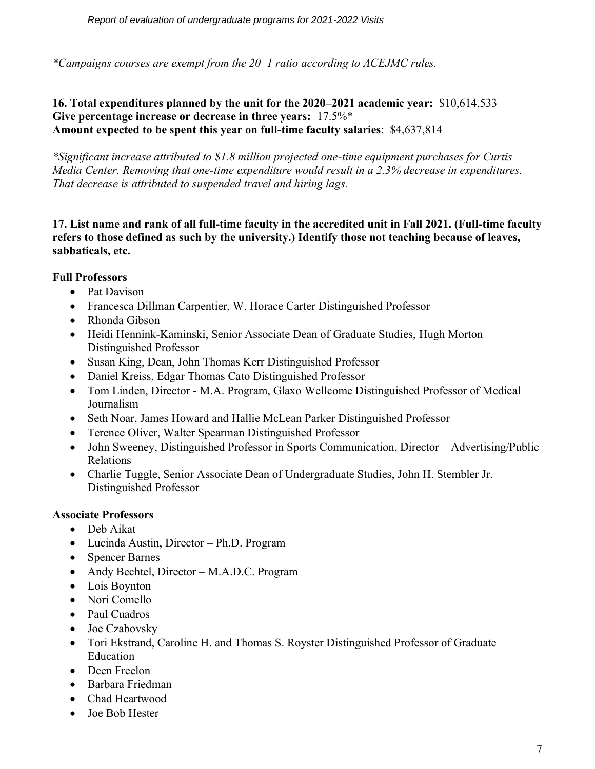*\*Campaigns courses are exempt from the 20–1 ratio according to ACEJMC rules.*

### **16. Total expenditures planned by the unit for the 2020–2021 academic year:** \$10,614,533 **Give percentage increase or decrease in three years:** 17.5%\* **Amount expected to be spent this year on full-time faculty salaries**: \$4,637,814

*\*Significant increase attributed to \$1.8 million projected one-time equipment purchases for Curtis Media Center. Removing that one-time expenditure would result in a 2.3% decrease in expenditures. That decrease is attributed to suspended travel and hiring lags.*

**17. List name and rank of all full-time faculty in the accredited unit in Fall 2021. (Full-time faculty refers to those defined as such by the university.) Identify those not teaching because of leaves, sabbaticals, etc.**

### **Full Professors**

- Pat Davison
- Francesca Dillman Carpentier, W. Horace Carter Distinguished Professor
- Rhonda Gibson
- Heidi Hennink-Kaminski, Senior Associate Dean of Graduate Studies, Hugh Morton Distinguished Professor
- Susan King, Dean, John Thomas Kerr Distinguished Professor
- Daniel Kreiss, Edgar Thomas Cato Distinguished Professor
- Tom Linden, Director M.A. Program, Glaxo Wellcome Distinguished Professor of Medical Journalism
- Seth Noar, James Howard and Hallie McLean Parker Distinguished Professor
- Terence Oliver, Walter Spearman Distinguished Professor
- John Sweeney, Distinguished Professor in Sports Communication, Director Advertising/Public Relations
- Charlie Tuggle, Senior Associate Dean of Undergraduate Studies, John H. Stembler Jr. Distinguished Professor

### **Associate Professors**

- Deb Aikat
- Lucinda Austin, Director Ph.D. Program
- Spencer Barnes
- Andy Bechtel, Director M.A.D.C. Program
- Lois Boynton
- Nori Comello
- Paul Cuadros
- Joe Czabovsky
- Tori Ekstrand, Caroline H. and Thomas S. Royster Distinguished Professor of Graduate Education
- Deen Freelon
- Barbara Friedman
- Chad Heartwood
- Joe Bob Hester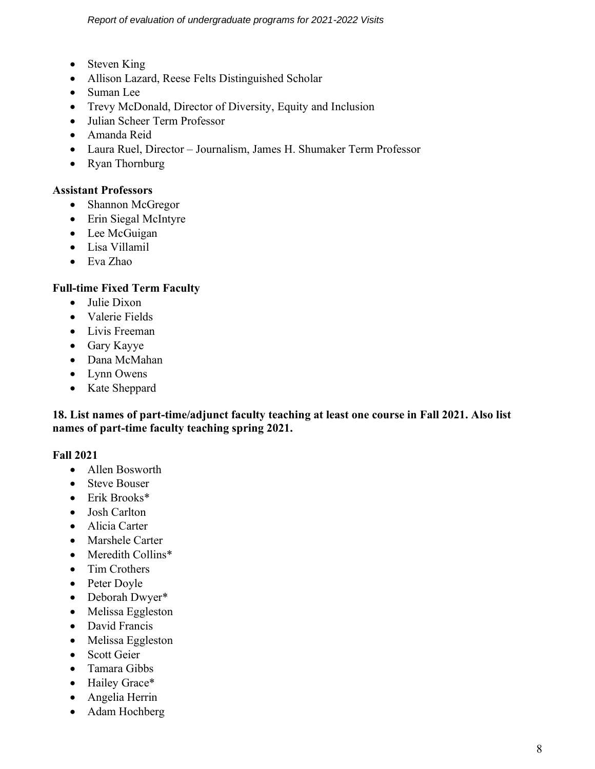- Steven King
- Allison Lazard, Reese Felts Distinguished Scholar
- Suman Lee
- Trevy McDonald, Director of Diversity, Equity and Inclusion
- Julian Scheer Term Professor
- Amanda Reid
- Laura Ruel, Director Journalism, James H. Shumaker Term Professor
- Ryan Thornburg

#### **Assistant Professors**

- Shannon McGregor
- Erin Siegal McIntyre
- Lee McGuigan
- Lisa Villamil
- Eva Zhao

#### **Full-time Fixed Term Faculty**

- Julie Dixon
- Valerie Fields
- Livis Freeman
- Gary Kayye
- Dana McMahan
- Lynn Owens
- Kate Sheppard

**18. List names of part-time/adjunct faculty teaching at least one course in Fall 2021. Also list names of part-time faculty teaching spring 2021.** 

#### **Fall 2021**

- Allen Bosworth
- Steve Bouser
- Erik Brooks\*
- Josh Carlton
- Alicia Carter
- Marshele Carter
- Meredith Collins\*
- Tim Crothers
- Peter Doyle
- Deborah Dwyer\*
- Melissa Eggleston
- David Francis
- Melissa Eggleston
- Scott Geier
- Tamara Gibbs
- Hailey Grace\*
- Angelia Herrin
- Adam Hochberg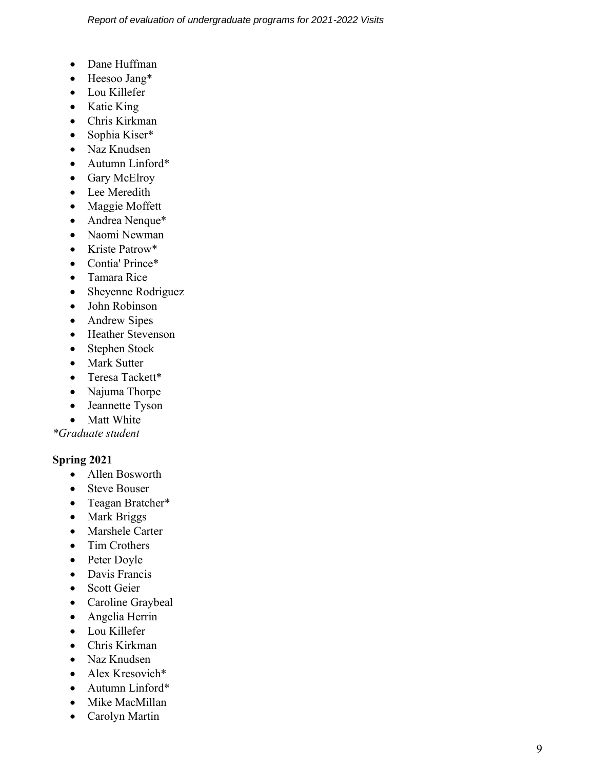- Dane Huffman
- Heesoo Jang\*
- Lou Killefer
- Katie King
- Chris Kirkman
- Sophia Kiser\*
- Naz Knudsen
- Autumn Linford\*
- Gary McElroy
- Lee Meredith
- Maggie Moffett
- Andrea Nenque\*
- Naomi Newman
- Kriste Patrow\*
- Contia' Prince\*
- Tamara Rice
- Sheyenne Rodriguez
- John Robinson
- Andrew Sipes
- Heather Stevenson
- Stephen Stock
- Mark Sutter
- Teresa Tackett\*
- Najuma Thorpe
- Jeannette Tyson
- Matt White

*\*Graduate student*

## **Spring 2021**

- Allen Bosworth
- Steve Bouser
- Teagan Bratcher\*
- Mark Briggs
- Marshele Carter
- Tim Crothers
- Peter Doyle
- Davis Francis
- Scott Geier
- Caroline Graybeal
- Angelia Herrin
- Lou Killefer
- Chris Kirkman
- Naz Knudsen
- Alex Kresovich\*
- Autumn Linford\*
- Mike MacMillan
- Carolyn Martin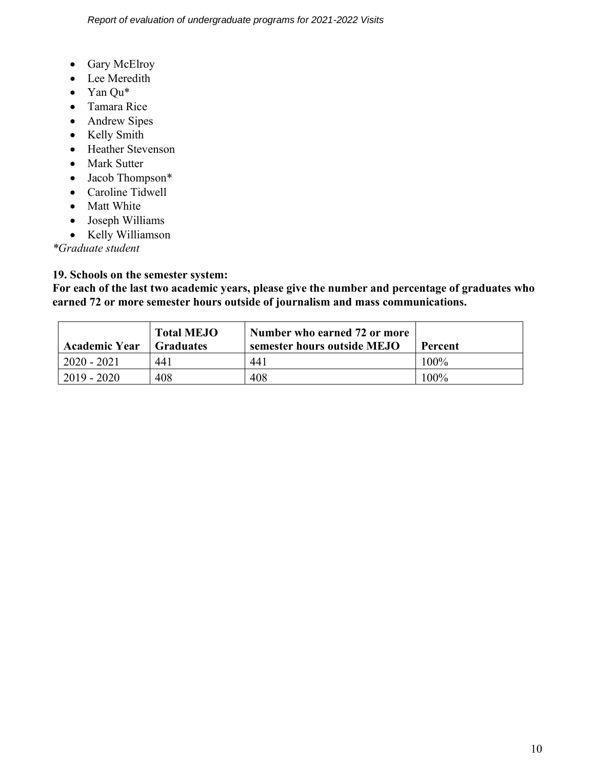- Gary McElroy
- Lee Meredith
- Yan Qu\*
- Tamara Rice
- Andrew Sipes
- Kelly Smith
- Heather Stevenson
- Mark Sutter
- Jacob Thompson\*
- Caroline Tidwell
- Matt White
- Joseph Williams
- Kelly Williamson

*\*Graduate student*

## **19. Schools on the semester system:**

**For each of the last two academic years, please give the number and percentage of graduates who earned 72 or more semester hours outside of journalism and mass communications.**

| <b>Academic Year</b> | <b>Total MEJO</b><br><b>Graduates</b> | Number who earned 72 or more<br>semester hours outside MEJO | <b>Percent</b> |
|----------------------|---------------------------------------|-------------------------------------------------------------|----------------|
| $2020 - 2021$        | 441                                   | 441                                                         | $100\%$        |
| $2019 - 2020$        | 408                                   | 408                                                         | 100%           |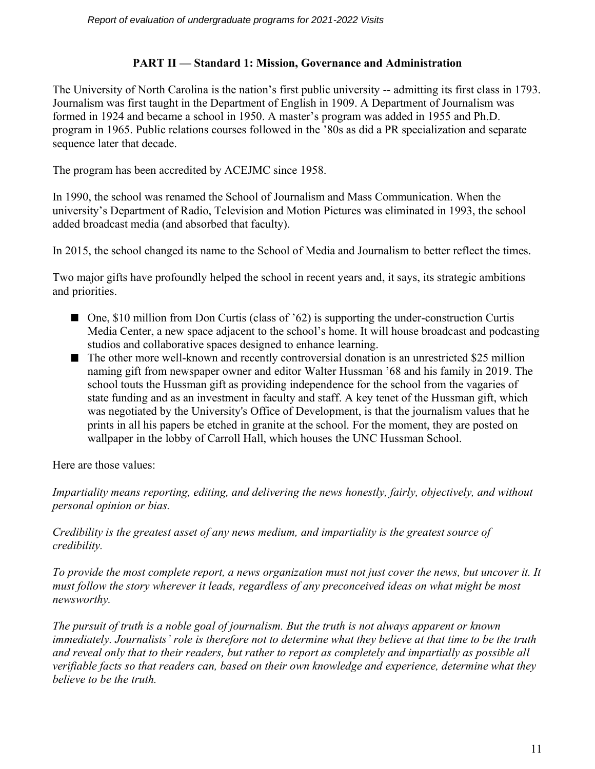#### **PART II — Standard 1: Mission, Governance and Administration**

The University of North Carolina is the nation's first public university -- admitting its first class in 1793. Journalism was first taught in the Department of English in 1909. A Department of Journalism was formed in 1924 and became a school in 1950. A master's program was added in 1955 and Ph.D. program in 1965. Public relations courses followed in the '80s as did a PR specialization and separate sequence later that decade.

The program has been accredited by ACEJMC since 1958.

In 1990, the school was renamed the School of Journalism and Mass Communication. When the university's Department of Radio, Television and Motion Pictures was eliminated in 1993, the school added broadcast media (and absorbed that faculty).

In 2015, the school changed its name to the School of Media and Journalism to better reflect the times.

Two major gifts have profoundly helped the school in recent years and, it says, its strategic ambitions and priorities.

- One, \$10 million from Don Curtis (class of '62) is supporting the under-construction Curtis Media Center, a new space adjacent to the school's home. It will house broadcast and podcasting studios and collaborative spaces designed to enhance learning.
- $\blacksquare$  The other more well-known and recently controversial donation is an unrestricted \$25 million naming gift from newspaper owner and editor Walter Hussman '68 and his family in 2019. The school touts the Hussman gift as providing independence for the school from the vagaries of state funding and as an investment in faculty and staff. A key tenet of the Hussman gift, which was negotiated by the University's Office of Development, is that the journalism values that he prints in all his papers be etched in granite at the school. For the moment, they are posted on wallpaper in the lobby of Carroll Hall, which houses the UNC Hussman School.

Here are those values:

*Impartiality means reporting, editing, and delivering the news honestly, fairly, objectively, and without personal opinion or bias.*

*Credibility is the greatest asset of any news medium, and impartiality is the greatest source of credibility.*

*To provide the most complete report, a news organization must not just cover the news, but uncover it. It must follow the story wherever it leads, regardless of any preconceived ideas on what might be most newsworthy.*

*The pursuit of truth is a noble goal of journalism. But the truth is not always apparent or known immediately. Journalists' role is therefore not to determine what they believe at that time to be the truth and reveal only that to their readers, but rather to report as completely and impartially as possible all verifiable facts so that readers can, based on their own knowledge and experience, determine what they believe to be the truth.*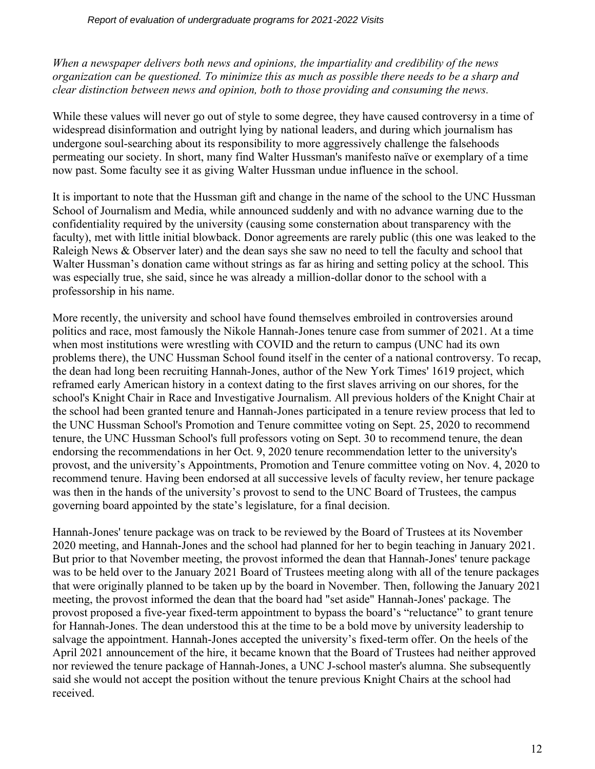*When a newspaper delivers both news and opinions, the impartiality and credibility of the news organization can be questioned. To minimize this as much as possible there needs to be a sharp and clear distinction between news and opinion, both to those providing and consuming the news.*

While these values will never go out of style to some degree, they have caused controversy in a time of widespread disinformation and outright lying by national leaders, and during which journalism has undergone soul-searching about its responsibility to more aggressively challenge the falsehoods permeating our society. In short, many find Walter Hussman's manifesto naïve or exemplary of a time now past. Some faculty see it as giving Walter Hussman undue influence in the school.

It is important to note that the Hussman gift and change in the name of the school to the UNC Hussman School of Journalism and Media, while announced suddenly and with no advance warning due to the confidentiality required by the university (causing some consternation about transparency with the faculty), met with little initial blowback. Donor agreements are rarely public (this one was leaked to the Raleigh News & Observer later) and the dean says she saw no need to tell the faculty and school that Walter Hussman's donation came without strings as far as hiring and setting policy at the school. This was especially true, she said, since he was already a million-dollar donor to the school with a professorship in his name.

More recently, the university and school have found themselves embroiled in controversies around politics and race, most famously the Nikole Hannah-Jones tenure case from summer of 2021. At a time when most institutions were wrestling with COVID and the return to campus (UNC had its own problems there), the UNC Hussman School found itself in the center of a national controversy. To recap, the dean had long been recruiting Hannah-Jones, author of the New York Times' 1619 project, which reframed early American history in a context dating to the first slaves arriving on our shores, for the school's Knight Chair in Race and Investigative Journalism. All previous holders of the Knight Chair at the school had been granted tenure and Hannah-Jones participated in a tenure review process that led to the UNC Hussman School's Promotion and Tenure committee voting on Sept. 25, 2020 to recommend tenure, the UNC Hussman School's full professors voting on Sept. 30 to recommend tenure, the dean endorsing the recommendations in her Oct. 9, 2020 tenure recommendation letter to the university's provost, and the university's Appointments, Promotion and Tenure committee voting on Nov. 4, 2020 to recommend tenure. Having been endorsed at all successive levels of faculty review, her tenure package was then in the hands of the university's provost to send to the UNC Board of Trustees, the campus governing board appointed by the state's legislature, for a final decision.

Hannah-Jones' tenure package was on track to be reviewed by the Board of Trustees at its November 2020 meeting, and Hannah-Jones and the school had planned for her to begin teaching in January 2021. But prior to that November meeting, the provost informed the dean that Hannah-Jones' tenure package was to be held over to the January 2021 Board of Trustees meeting along with all of the tenure packages that were originally planned to be taken up by the board in November. Then, following the January 2021 meeting, the provost informed the dean that the board had "set aside" Hannah-Jones' package. The provost proposed a five-year fixed-term appointment to bypass the board's "reluctance" to grant tenure for Hannah-Jones. The dean understood this at the time to be a bold move by university leadership to salvage the appointment. Hannah-Jones accepted the university's fixed-term offer. On the heels of the April 2021 announcement of the hire, it became known that the Board of Trustees had neither approved nor reviewed the tenure package of Hannah-Jones, a UNC J-school master's alumna. She subsequently said she would not accept the position without the tenure previous Knight Chairs at the school had received.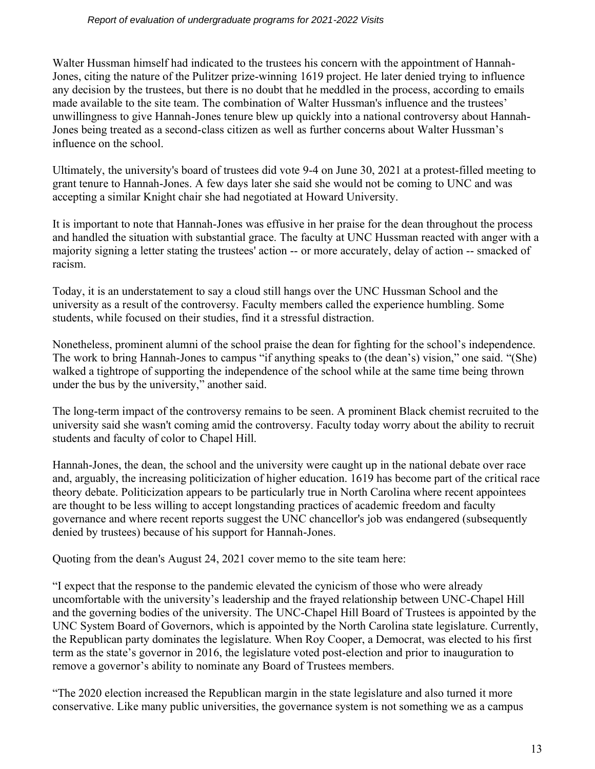Walter Hussman himself had indicated to the trustees his concern with the appointment of Hannah-Jones, citing the nature of the Pulitzer prize-winning 1619 project. He later denied trying to influence any decision by the trustees, but there is no doubt that he meddled in the process, according to emails made available to the site team. The combination of Walter Hussman's influence and the trustees' unwillingness to give Hannah-Jones tenure blew up quickly into a national controversy about Hannah-Jones being treated as a second-class citizen as well as further concerns about Walter Hussman's influence on the school.

Ultimately, the university's board of trustees did vote 9-4 on June 30, 2021 at a protest-filled meeting to grant tenure to Hannah-Jones. A few days later she said she would not be coming to UNC and was accepting a similar Knight chair she had negotiated at Howard University.

It is important to note that Hannah-Jones was effusive in her praise for the dean throughout the process and handled the situation with substantial grace. The faculty at UNC Hussman reacted with anger with a majority signing a letter stating the trustees' action -- or more accurately, delay of action -- smacked of racism.

Today, it is an understatement to say a cloud still hangs over the UNC Hussman School and the university as a result of the controversy. Faculty members called the experience humbling. Some students, while focused on their studies, find it a stressful distraction.

Nonetheless, prominent alumni of the school praise the dean for fighting for the school's independence. The work to bring Hannah-Jones to campus "if anything speaks to (the dean's) vision," one said. "(She) walked a tightrope of supporting the independence of the school while at the same time being thrown under the bus by the university," another said.

The long-term impact of the controversy remains to be seen. A prominent Black chemist recruited to the university said she wasn't coming amid the controversy. Faculty today worry about the ability to recruit students and faculty of color to Chapel Hill.

Hannah-Jones, the dean, the school and the university were caught up in the national debate over race and, arguably, the increasing politicization of higher education. 1619 has become part of the critical race theory debate. Politicization appears to be particularly true in North Carolina where recent appointees are thought to be less willing to accept longstanding practices of academic freedom and faculty governance and where recent reports suggest the UNC chancellor's job was endangered (subsequently denied by trustees) because of his support for Hannah-Jones.

Quoting from the dean's August 24, 2021 cover memo to the site team here:

"I expect that the response to the pandemic elevated the cynicism of those who were already uncomfortable with the university's leadership and the frayed relationship between UNC-Chapel Hill and the governing bodies of the university. The UNC-Chapel Hill Board of Trustees is appointed by the UNC System Board of Governors, which is appointed by the North Carolina state legislature. Currently, the Republican party dominates the legislature. When Roy Cooper, a Democrat, was elected to his first term as the state's governor in 2016, the legislature voted post-election and prior to inauguration to remove a governor's ability to nominate any Board of Trustees members.

"The 2020 election increased the Republican margin in the state legislature and also turned it more conservative. Like many public universities, the governance system is not something we as a campus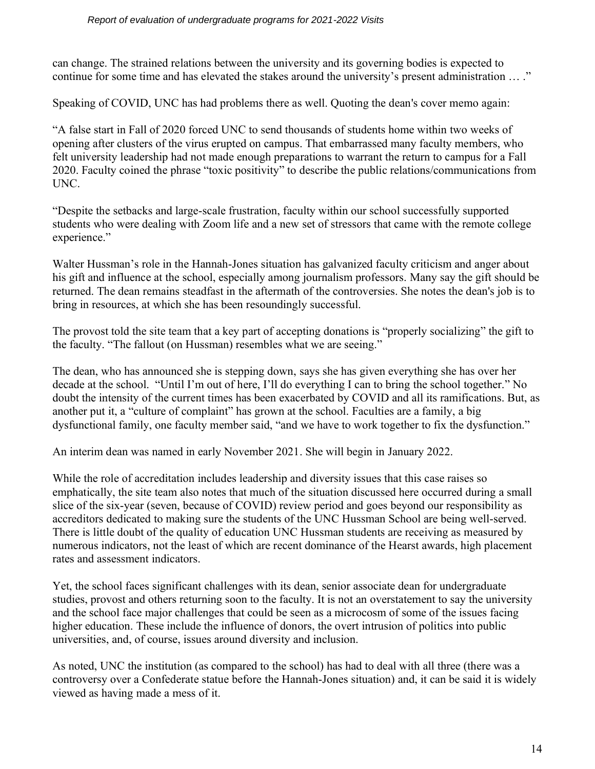#### *Report of evaluation of undergraduate programs for 2021-2022 Visits*

can change. The strained relations between the university and its governing bodies is expected to continue for some time and has elevated the stakes around the university's present administration … ."

Speaking of COVID, UNC has had problems there as well. Quoting the dean's cover memo again:

"A false start in Fall of 2020 forced UNC to send thousands of students home within two weeks of opening after clusters of the virus erupted on campus. That embarrassed many faculty members, who felt university leadership had not made enough preparations to warrant the return to campus for a Fall 2020. Faculty coined the phrase "toxic positivity" to describe the public relations/communications from UNC.

"Despite the setbacks and large-scale frustration, faculty within our school successfully supported students who were dealing with Zoom life and a new set of stressors that came with the remote college experience."

Walter Hussman's role in the Hannah-Jones situation has galvanized faculty criticism and anger about his gift and influence at the school, especially among journalism professors. Many say the gift should be returned. The dean remains steadfast in the aftermath of the controversies. She notes the dean's job is to bring in resources, at which she has been resoundingly successful.

The provost told the site team that a key part of accepting donations is "properly socializing" the gift to the faculty. "The fallout (on Hussman) resembles what we are seeing."

The dean, who has announced she is stepping down, says she has given everything she has over her decade at the school. "Until I'm out of here, I'll do everything I can to bring the school together." No doubt the intensity of the current times has been exacerbated by COVID and all its ramifications. But, as another put it, a "culture of complaint" has grown at the school. Faculties are a family, a big dysfunctional family, one faculty member said, "and we have to work together to fix the dysfunction."

An interim dean was named in early November 2021. She will begin in January 2022.

While the role of accreditation includes leadership and diversity issues that this case raises so emphatically, the site team also notes that much of the situation discussed here occurred during a small slice of the six-year (seven, because of COVID) review period and goes beyond our responsibility as accreditors dedicated to making sure the students of the UNC Hussman School are being well-served. There is little doubt of the quality of education UNC Hussman students are receiving as measured by numerous indicators, not the least of which are recent dominance of the Hearst awards, high placement rates and assessment indicators.

Yet, the school faces significant challenges with its dean, senior associate dean for undergraduate studies, provost and others returning soon to the faculty. It is not an overstatement to say the university and the school face major challenges that could be seen as a microcosm of some of the issues facing higher education. These include the influence of donors, the overt intrusion of politics into public universities, and, of course, issues around diversity and inclusion.

As noted, UNC the institution (as compared to the school) has had to deal with all three (there was a controversy over a Confederate statue before the Hannah-Jones situation) and, it can be said it is widely viewed as having made a mess of it.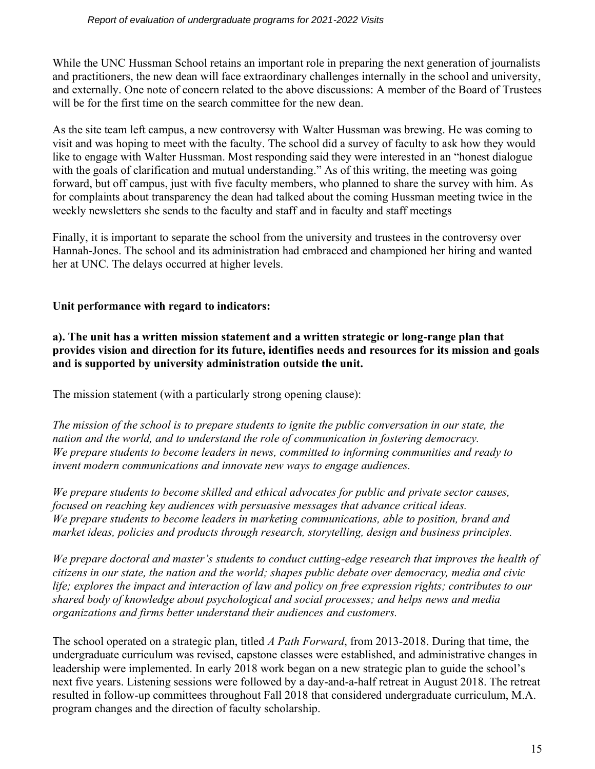While the UNC Hussman School retains an important role in preparing the next generation of journalists and practitioners, the new dean will face extraordinary challenges internally in the school and university, and externally. One note of concern related to the above discussions: A member of the Board of Trustees will be for the first time on the search committee for the new dean.

As the site team left campus, a new controversy with Walter Hussman was brewing. He was coming to visit and was hoping to meet with the faculty. The school did a survey of faculty to ask how they would like to engage with Walter Hussman. Most responding said they were interested in an "honest dialogue with the goals of clarification and mutual understanding." As of this writing, the meeting was going forward, but off campus, just with five faculty members, who planned to share the survey with him. As for complaints about transparency the dean had talked about the coming Hussman meeting twice in the weekly newsletters she sends to the faculty and staff and in faculty and staff meetings

Finally, it is important to separate the school from the university and trustees in the controversy over Hannah-Jones. The school and its administration had embraced and championed her hiring and wanted her at UNC. The delays occurred at higher levels.

### **Unit performance with regard to indicators:**

**a). The unit has a written mission statement and a written strategic or long-range plan that provides vision and direction for its future, identifies needs and resources for its mission and goals and is supported by university administration outside the unit.** 

The mission statement (with a particularly strong opening clause):

*The mission of the school is to prepare students to ignite the public conversation in our state, the nation and the world, and to understand the role of communication in fostering democracy. We prepare students to become leaders in news, committed to informing communities and ready to invent modern communications and innovate new ways to engage audiences.*

*We prepare students to become skilled and ethical advocates for public and private sector causes, focused on reaching key audiences with persuasive messages that advance critical ideas. We prepare students to become leaders in marketing communications, able to position, brand and market ideas, policies and products through research, storytelling, design and business principles.*

*We prepare doctoral and master's students to conduct cutting-edge research that improves the health of citizens in our state, the nation and the world; shapes public debate over democracy, media and civic life; explores the impact and interaction of law and policy on free expression rights; contributes to our shared body of knowledge about psychological and social processes; and helps news and media organizations and firms better understand their audiences and customers.*

The school operated on a strategic plan, titled *A Path Forward*, from 2013-2018. During that time, the undergraduate curriculum was revised, capstone classes were established, and administrative changes in leadership were implemented. In early 2018 work began on a new strategic plan to guide the school's next five years. Listening sessions were followed by a day-and-a-half retreat in August 2018. The retreat resulted in follow-up committees throughout Fall 2018 that considered undergraduate curriculum, M.A. program changes and the direction of faculty scholarship.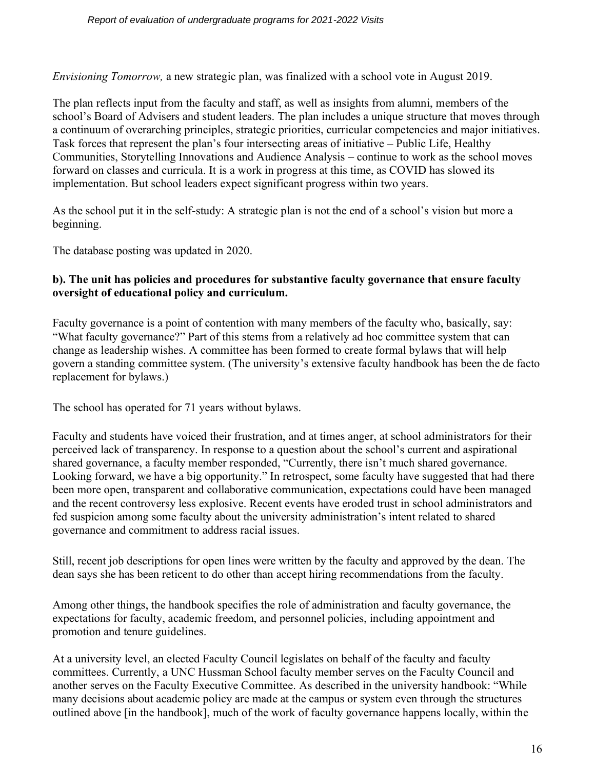*Envisioning Tomorrow,* a new strategic plan, was finalized with a school vote in August 2019.

The plan reflects input from the faculty and staff, as well as insights from alumni, members of the school's Board of Advisers and student leaders. The plan includes a unique structure that moves through a continuum of overarching principles, strategic priorities, curricular competencies and major initiatives. Task forces that represent the plan's four intersecting areas of initiative – Public Life, Healthy Communities, Storytelling Innovations and Audience Analysis – continue to work as the school moves forward on classes and curricula. It is a work in progress at this time, as COVID has slowed its implementation. But school leaders expect significant progress within two years.

As the school put it in the self-study: A strategic plan is not the end of a school's vision but more a beginning.

The database posting was updated in 2020.

#### **b). The unit has policies and procedures for substantive faculty governance that ensure faculty oversight of educational policy and curriculum.**

Faculty governance is a point of contention with many members of the faculty who, basically, say: "What faculty governance?" Part of this stems from a relatively ad hoc committee system that can change as leadership wishes. A committee has been formed to create formal bylaws that will help govern a standing committee system. (The university's extensive faculty handbook has been the de facto replacement for bylaws.)

The school has operated for 71 years without bylaws.

Faculty and students have voiced their frustration, and at times anger, at school administrators for their perceived lack of transparency. In response to a question about the school's current and aspirational shared governance, a faculty member responded, "Currently, there isn't much shared governance. Looking forward, we have a big opportunity." In retrospect, some faculty have suggested that had there been more open, transparent and collaborative communication, expectations could have been managed and the recent controversy less explosive. Recent events have eroded trust in school administrators and fed suspicion among some faculty about the university administration's intent related to shared governance and commitment to address racial issues.

Still, recent job descriptions for open lines were written by the faculty and approved by the dean. The dean says she has been reticent to do other than accept hiring recommendations from the faculty.

Among other things, the handbook specifies the role of administration and faculty governance, the expectations for faculty, academic freedom, and personnel policies, including appointment and promotion and tenure guidelines.

At a university level, an elected Faculty Council legislates on behalf of the faculty and faculty committees. Currently, a UNC Hussman School faculty member serves on the Faculty Council and another serves on the Faculty Executive Committee. As described in the university handbook: "While many decisions about academic policy are made at the campus or system even through the structures outlined above [in the handbook], much of the work of faculty governance happens locally, within the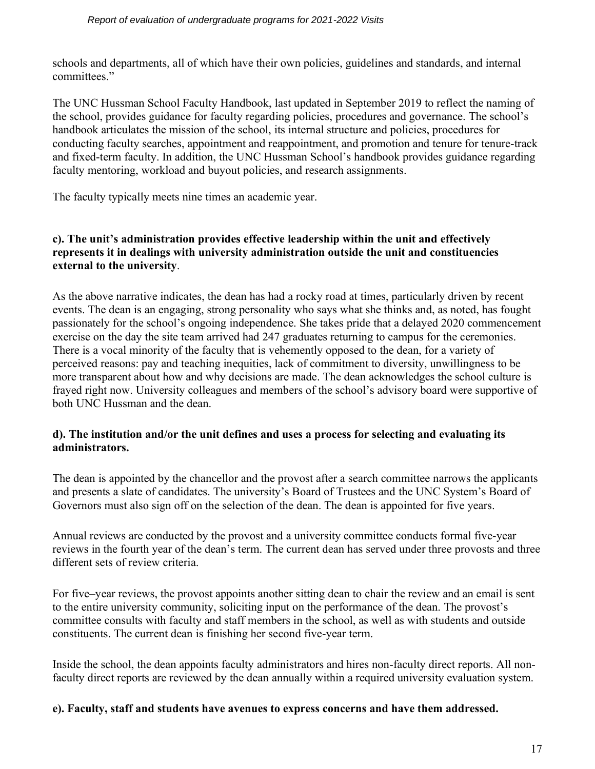schools and departments, all of which have their own policies, guidelines and standards, and internal committees."

The UNC Hussman School Faculty Handbook, last updated in September 2019 to reflect the naming of the school, provides guidance for faculty regarding policies, procedures and governance. The school's handbook articulates the mission of the school, its internal structure and policies, procedures for conducting faculty searches, appointment and reappointment, and promotion and tenure for tenure-track and fixed-term faculty. In addition, the UNC Hussman School's handbook provides guidance regarding faculty mentoring, workload and buyout policies, and research assignments.

The faculty typically meets nine times an academic year.

#### **c). The unit's administration provides effective leadership within the unit and effectively represents it in dealings with university administration outside the unit and constituencies external to the university**.

As the above narrative indicates, the dean has had a rocky road at times, particularly driven by recent events. The dean is an engaging, strong personality who says what she thinks and, as noted, has fought passionately for the school's ongoing independence. She takes pride that a delayed 2020 commencement exercise on the day the site team arrived had 247 graduates returning to campus for the ceremonies. There is a vocal minority of the faculty that is vehemently opposed to the dean, for a variety of perceived reasons: pay and teaching inequities, lack of commitment to diversity, unwillingness to be more transparent about how and why decisions are made. The dean acknowledges the school culture is frayed right now. University colleagues and members of the school's advisory board were supportive of both UNC Hussman and the dean.

#### **d). The institution and/or the unit defines and uses a process for selecting and evaluating its administrators.**

The dean is appointed by the chancellor and the provost after a search committee narrows the applicants and presents a slate of candidates. The university's Board of Trustees and the UNC System's Board of Governors must also sign off on the selection of the dean. The dean is appointed for five years.

Annual reviews are conducted by the provost and a university committee conducts formal five-year reviews in the fourth year of the dean's term. The current dean has served under three provosts and three different sets of review criteria.

For five–year reviews, the provost appoints another sitting dean to chair the review and an email is sent to the entire university community, soliciting input on the performance of the dean. The provost's committee consults with faculty and staff members in the school, as well as with students and outside constituents. The current dean is finishing her second five-year term.

Inside the school, the dean appoints faculty administrators and hires non-faculty direct reports. All nonfaculty direct reports are reviewed by the dean annually within a required university evaluation system.

#### **e). Faculty, staff and students have avenues to express concerns and have them addressed.**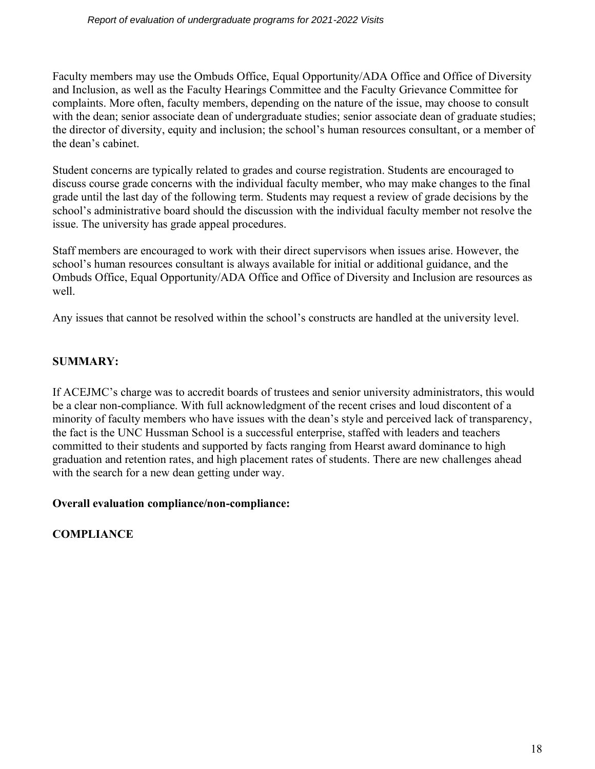Faculty members may use the Ombuds Office, Equal Opportunity/ADA Office and Office of Diversity and Inclusion, as well as the Faculty Hearings Committee and the Faculty Grievance Committee for complaints. More often, faculty members, depending on the nature of the issue, may choose to consult with the dean; senior associate dean of undergraduate studies; senior associate dean of graduate studies; the director of diversity, equity and inclusion; the school's human resources consultant, or a member of the dean's cabinet.

Student concerns are typically related to grades and course registration. Students are encouraged to discuss course grade concerns with the individual faculty member, who may make changes to the final grade until the last day of the following term. Students may request a review of grade decisions by the school's administrative board should the discussion with the individual faculty member not resolve the issue. The university has grade appeal procedures.

Staff members are encouraged to work with their direct supervisors when issues arise. However, the school's human resources consultant is always available for initial or additional guidance, and the Ombuds Office, Equal Opportunity/ADA Office and Office of Diversity and Inclusion are resources as well.

Any issues that cannot be resolved within the school's constructs are handled at the university level.

## **SUMMARY:**

If ACEJMC's charge was to accredit boards of trustees and senior university administrators, this would be a clear non-compliance. With full acknowledgment of the recent crises and loud discontent of a minority of faculty members who have issues with the dean's style and perceived lack of transparency, the fact is the UNC Hussman School is a successful enterprise, staffed with leaders and teachers committed to their students and supported by facts ranging from Hearst award dominance to high graduation and retention rates, and high placement rates of students. There are new challenges ahead with the search for a new dean getting under way.

## **Overall evaluation compliance/non-compliance:**

**COMPLIANCE**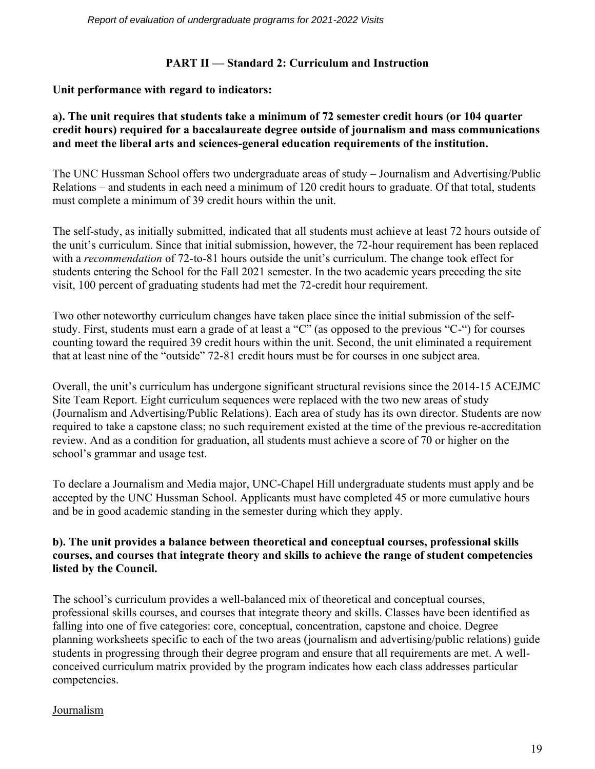### **PART II — Standard 2: Curriculum and Instruction**

### **Unit performance with regard to indicators:**

#### **a). The unit requires that students take a minimum of 72 semester credit hours (or 104 quarter credit hours) required for a baccalaureate degree outside of journalism and mass communications and meet the liberal arts and sciences-general education requirements of the institution.**

The UNC Hussman School offers two undergraduate areas of study – Journalism and Advertising/Public Relations – and students in each need a minimum of 120 credit hours to graduate. Of that total, students must complete a minimum of 39 credit hours within the unit.

The self-study, as initially submitted, indicated that all students must achieve at least 72 hours outside of the unit's curriculum. Since that initial submission, however, the 72-hour requirement has been replaced with a *recommendation* of 72-to-81 hours outside the unit's curriculum. The change took effect for students entering the School for the Fall 2021 semester. In the two academic years preceding the site visit, 100 percent of graduating students had met the 72-credit hour requirement.

Two other noteworthy curriculum changes have taken place since the initial submission of the selfstudy. First, students must earn a grade of at least a "C" (as opposed to the previous "C-") for courses counting toward the required 39 credit hours within the unit. Second, the unit eliminated a requirement that at least nine of the "outside" 72-81 credit hours must be for courses in one subject area.

Overall, the unit's curriculum has undergone significant structural revisions since the 2014-15 ACEJMC Site Team Report. Eight curriculum sequences were replaced with the two new areas of study (Journalism and Advertising/Public Relations). Each area of study has its own director. Students are now required to take a capstone class; no such requirement existed at the time of the previous re-accreditation review. And as a condition for graduation, all students must achieve a score of 70 or higher on the school's grammar and usage test.

To declare a Journalism and Media major, UNC-Chapel Hill undergraduate students must apply and be accepted by the UNC Hussman School. Applicants must have completed 45 or more cumulative hours and be in good academic standing in the semester during which they apply.

#### **b). The unit provides a balance between theoretical and conceptual courses, professional skills courses, and courses that integrate theory and skills to achieve the range of student competencies listed by the Council.**

The school's curriculum provides a well-balanced mix of theoretical and conceptual courses, professional skills courses, and courses that integrate theory and skills. Classes have been identified as falling into one of five categories: core, conceptual, concentration, capstone and choice. Degree planning worksheets specific to each of the two areas (journalism and advertising/public relations) guide students in progressing through their degree program and ensure that all requirements are met. A wellconceived curriculum matrix provided by the program indicates how each class addresses particular competencies.

#### Journalism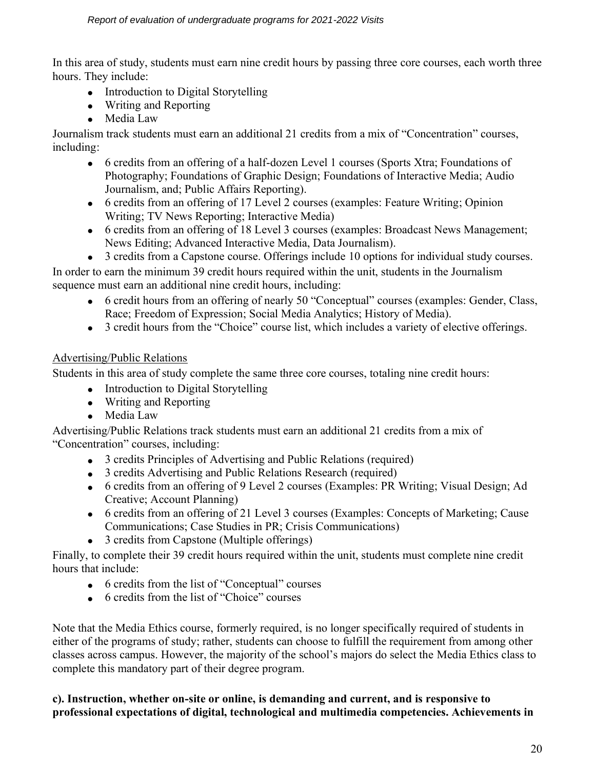In this area of study, students must earn nine credit hours by passing three core courses, each worth three hours. They include:

- Introduction to Digital Storytelling
- Writing and Reporting
- Media Law

Journalism track students must earn an additional 21 credits from a mix of "Concentration" courses, including:

- 6 credits from an offering of a half-dozen Level 1 courses (Sports Xtra; Foundations of Photography; Foundations of Graphic Design; Foundations of Interactive Media; Audio Journalism, and; Public Affairs Reporting).
- 6 credits from an offering of 17 Level 2 courses (examples: Feature Writing; Opinion Writing; TV News Reporting; Interactive Media)
- 6 credits from an offering of 18 Level 3 courses (examples: Broadcast News Management; News Editing; Advanced Interactive Media, Data Journalism).
- 3 credits from a Capstone course. Offerings include 10 options for individual study courses.

In order to earn the minimum 39 credit hours required within the unit, students in the Journalism sequence must earn an additional nine credit hours, including:

- 6 credit hours from an offering of nearly 50 "Conceptual" courses (examples: Gender, Class, Race; Freedom of Expression; Social Media Analytics; History of Media).
- 3 credit hours from the "Choice" course list, which includes a variety of elective offerings.

## Advertising/Public Relations

Students in this area of study complete the same three core courses, totaling nine credit hours:

- Introduction to Digital Storytelling
- Writing and Reporting
- Media Law

Advertising/Public Relations track students must earn an additional 21 credits from a mix of "Concentration" courses, including:

- 3 credits Principles of Advertising and Public Relations (required)
- 3 credits Advertising and Public Relations Research (required)
- 6 credits from an offering of 9 Level 2 courses (Examples: PR Writing; Visual Design; Ad Creative; Account Planning)
- 6 credits from an offering of 21 Level 3 courses (Examples: Concepts of Marketing; Cause Communications; Case Studies in PR; Crisis Communications)
- 3 credits from Capstone (Multiple offerings)

Finally, to complete their 39 credit hours required within the unit, students must complete nine credit hours that include:

- 6 credits from the list of "Conceptual" courses
- 6 credits from the list of "Choice" courses

Note that the Media Ethics course, formerly required, is no longer specifically required of students in either of the programs of study; rather, students can choose to fulfill the requirement from among other classes across campus. However, the majority of the school's majors do select the Media Ethics class to complete this mandatory part of their degree program.

### **c). Instruction, whether on-site or online, is demanding and current, and is responsive to professional expectations of digital, technological and multimedia competencies. Achievements in**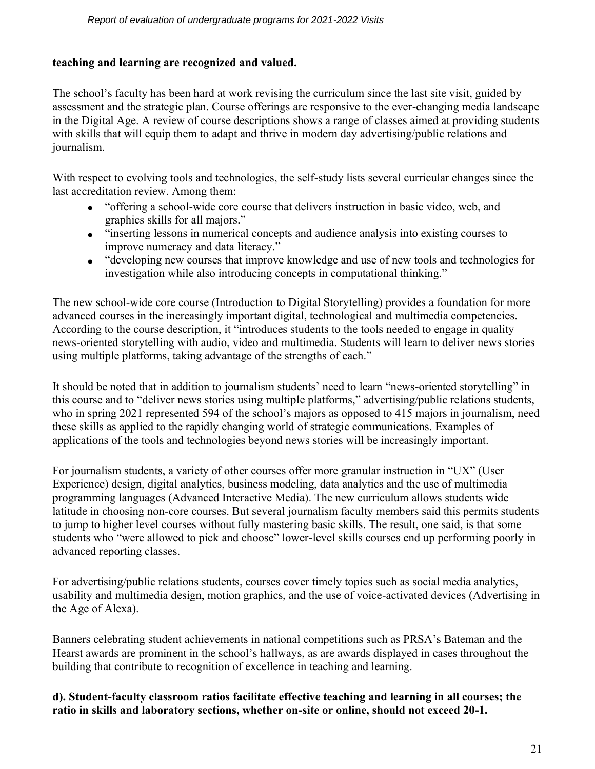#### **teaching and learning are recognized and valued.**

The school's faculty has been hard at work revising the curriculum since the last site visit, guided by assessment and the strategic plan. Course offerings are responsive to the ever-changing media landscape in the Digital Age. A review of course descriptions shows a range of classes aimed at providing students with skills that will equip them to adapt and thrive in modern day advertising/public relations and journalism.

With respect to evolving tools and technologies, the self-study lists several curricular changes since the last accreditation review. Among them:

- "offering a school-wide core course that delivers instruction in basic video, web, and graphics skills for all majors."
- "inserting lessons in numerical concepts and audience analysis into existing courses to improve numeracy and data literacy."
- "developing new courses that improve knowledge and use of new tools and technologies for investigation while also introducing concepts in computational thinking."

The new school-wide core course (Introduction to Digital Storytelling) provides a foundation for more advanced courses in the increasingly important digital, technological and multimedia competencies. According to the course description, it "introduces students to the tools needed to engage in quality news-oriented storytelling with audio, video and multimedia. Students will learn to deliver news stories using multiple platforms, taking advantage of the strengths of each."

It should be noted that in addition to journalism students' need to learn "news-oriented storytelling" in this course and to "deliver news stories using multiple platforms," advertising/public relations students, who in spring 2021 represented 594 of the school's majors as opposed to 415 majors in journalism, need these skills as applied to the rapidly changing world of strategic communications. Examples of applications of the tools and technologies beyond news stories will be increasingly important.

For journalism students, a variety of other courses offer more granular instruction in "UX" (User Experience) design, digital analytics, business modeling, data analytics and the use of multimedia programming languages (Advanced Interactive Media). The new curriculum allows students wide latitude in choosing non-core courses. But several journalism faculty members said this permits students to jump to higher level courses without fully mastering basic skills. The result, one said, is that some students who "were allowed to pick and choose" lower-level skills courses end up performing poorly in advanced reporting classes.

For advertising/public relations students, courses cover timely topics such as social media analytics, usability and multimedia design, motion graphics, and the use of voice-activated devices (Advertising in the Age of Alexa).

Banners celebrating student achievements in national competitions such as PRSA's Bateman and the Hearst awards are prominent in the school's hallways, as are awards displayed in cases throughout the building that contribute to recognition of excellence in teaching and learning.

**d). Student-faculty classroom ratios facilitate effective teaching and learning in all courses; the ratio in skills and laboratory sections, whether on-site or online, should not exceed 20-1.**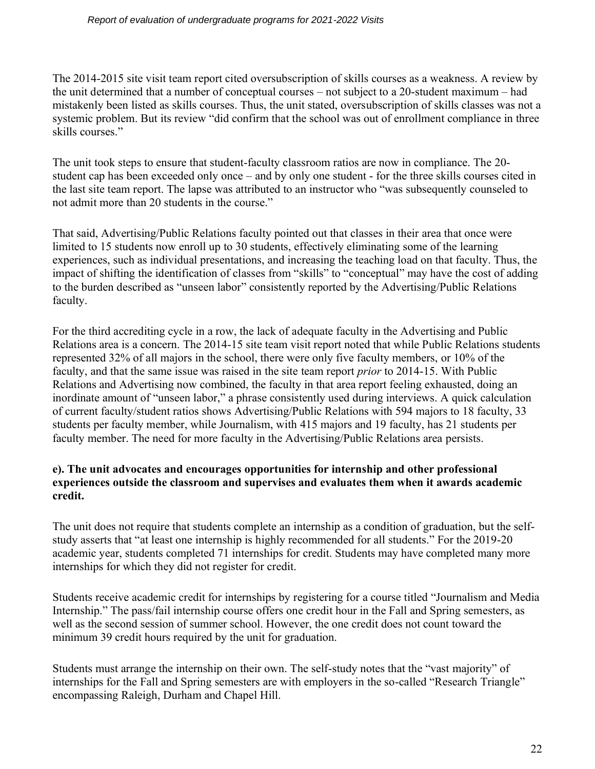The 2014-2015 site visit team report cited oversubscription of skills courses as a weakness. A review by the unit determined that a number of conceptual courses – not subject to a 20-student maximum – had mistakenly been listed as skills courses. Thus, the unit stated, oversubscription of skills classes was not a systemic problem. But its review "did confirm that the school was out of enrollment compliance in three skills courses."

The unit took steps to ensure that student-faculty classroom ratios are now in compliance. The 20 student cap has been exceeded only once – and by only one student - for the three skills courses cited in the last site team report. The lapse was attributed to an instructor who "was subsequently counseled to not admit more than 20 students in the course."

That said, Advertising/Public Relations faculty pointed out that classes in their area that once were limited to 15 students now enroll up to 30 students, effectively eliminating some of the learning experiences, such as individual presentations, and increasing the teaching load on that faculty. Thus, the impact of shifting the identification of classes from "skills" to "conceptual" may have the cost of adding to the burden described as "unseen labor" consistently reported by the Advertising/Public Relations faculty.

For the third accrediting cycle in a row, the lack of adequate faculty in the Advertising and Public Relations area is a concern. The 2014-15 site team visit report noted that while Public Relations students represented 32% of all majors in the school, there were only five faculty members, or 10% of the faculty, and that the same issue was raised in the site team report *prior* to 2014-15. With Public Relations and Advertising now combined, the faculty in that area report feeling exhausted, doing an inordinate amount of "unseen labor," a phrase consistently used during interviews. A quick calculation of current faculty/student ratios shows Advertising/Public Relations with 594 majors to 18 faculty, 33 students per faculty member, while Journalism, with 415 majors and 19 faculty, has 21 students per faculty member. The need for more faculty in the Advertising/Public Relations area persists.

### **e). The unit advocates and encourages opportunities for internship and other professional experiences outside the classroom and supervises and evaluates them when it awards academic credit.**

The unit does not require that students complete an internship as a condition of graduation, but the selfstudy asserts that "at least one internship is highly recommended for all students." For the 2019-20 academic year, students completed 71 internships for credit. Students may have completed many more internships for which they did not register for credit.

Students receive academic credit for internships by registering for a course titled "Journalism and Media Internship." The pass/fail internship course offers one credit hour in the Fall and Spring semesters, as well as the second session of summer school. However, the one credit does not count toward the minimum 39 credit hours required by the unit for graduation.

Students must arrange the internship on their own. The self-study notes that the "vast majority" of internships for the Fall and Spring semesters are with employers in the so-called "Research Triangle" encompassing Raleigh, Durham and Chapel Hill.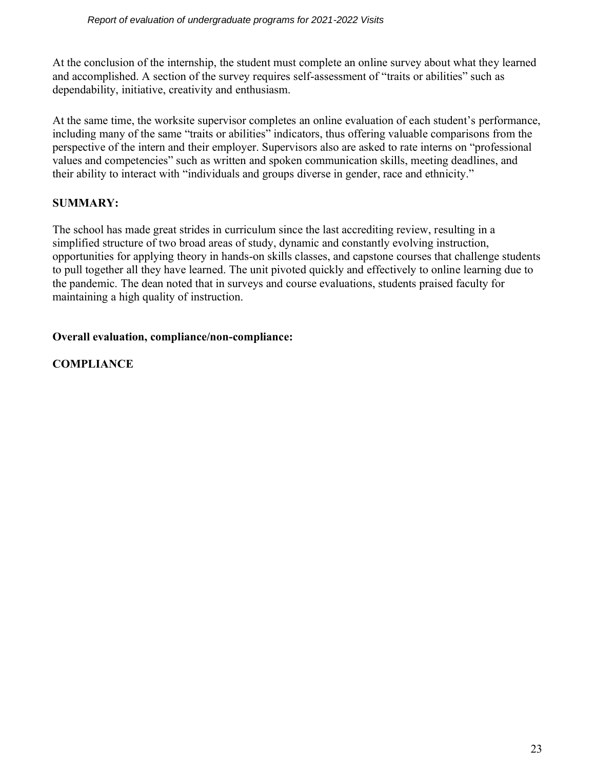At the conclusion of the internship, the student must complete an online survey about what they learned and accomplished. A section of the survey requires self-assessment of "traits or abilities" such as dependability, initiative, creativity and enthusiasm.

At the same time, the worksite supervisor completes an online evaluation of each student's performance, including many of the same "traits or abilities" indicators, thus offering valuable comparisons from the perspective of the intern and their employer. Supervisors also are asked to rate interns on "professional values and competencies" such as written and spoken communication skills, meeting deadlines, and their ability to interact with "individuals and groups diverse in gender, race and ethnicity."

## **SUMMARY:**

The school has made great strides in curriculum since the last accrediting review, resulting in a simplified structure of two broad areas of study, dynamic and constantly evolving instruction, opportunities for applying theory in hands-on skills classes, and capstone courses that challenge students to pull together all they have learned. The unit pivoted quickly and effectively to online learning due to the pandemic. The dean noted that in surveys and course evaluations, students praised faculty for maintaining a high quality of instruction.

### **Overall evaluation, compliance/non-compliance:**

### **COMPLIANCE**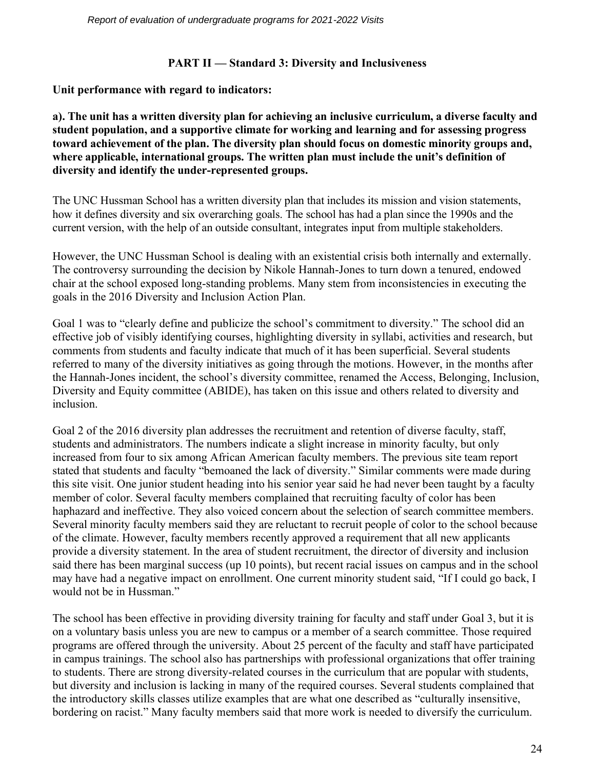### **PART II — Standard 3: Diversity and Inclusiveness**

**Unit performance with regard to indicators:**

**a). The unit has a written diversity plan for achieving an inclusive curriculum, a diverse faculty and student population, and a supportive climate for working and learning and for assessing progress toward achievement of the plan. The diversity plan should focus on domestic minority groups and, where applicable, international groups. The written plan must include the unit's definition of diversity and identify the under-represented groups.**

The UNC Hussman School has a written diversity plan that includes its mission and vision statements, how it defines diversity and six overarching goals. The school has had a plan since the 1990s and the current version, with the help of an outside consultant, integrates input from multiple stakeholders.

However, the UNC Hussman School is dealing with an existential crisis both internally and externally. The controversy surrounding the decision by Nikole Hannah-Jones to turn down a tenured, endowed chair at the school exposed long-standing problems. Many stem from inconsistencies in executing the goals in the 2016 Diversity and Inclusion Action Plan.

Goal 1 was to "clearly define and publicize the school's commitment to diversity." The school did an effective job of visibly identifying courses, highlighting diversity in syllabi, activities and research, but comments from students and faculty indicate that much of it has been superficial. Several students referred to many of the diversity initiatives as going through the motions. However, in the months after the Hannah-Jones incident, the school's diversity committee, renamed the Access, Belonging, Inclusion, Diversity and Equity committee (ABIDE), has taken on this issue and others related to diversity and inclusion.

Goal 2 of the 2016 diversity plan addresses the recruitment and retention of diverse faculty, staff, students and administrators. The numbers indicate a slight increase in minority faculty, but only increased from four to six among African American faculty members. The previous site team report stated that students and faculty "bemoaned the lack of diversity." Similar comments were made during this site visit. One junior student heading into his senior year said he had never been taught by a faculty member of color. Several faculty members complained that recruiting faculty of color has been haphazard and ineffective. They also voiced concern about the selection of search committee members. Several minority faculty members said they are reluctant to recruit people of color to the school because of the climate. However, faculty members recently approved a requirement that all new applicants provide a diversity statement. In the area of student recruitment, the director of diversity and inclusion said there has been marginal success (up 10 points), but recent racial issues on campus and in the school may have had a negative impact on enrollment. One current minority student said, "If I could go back, I would not be in Hussman."

The school has been effective in providing diversity training for faculty and staff under Goal 3, but it is on a voluntary basis unless you are new to campus or a member of a search committee. Those required programs are offered through the university. About 25 percent of the faculty and staff have participated in campus trainings. The school also has partnerships with professional organizations that offer training to students. There are strong diversity-related courses in the curriculum that are popular with students, but diversity and inclusion is lacking in many of the required courses. Several students complained that the introductory skills classes utilize examples that are what one described as "culturally insensitive, bordering on racist." Many faculty members said that more work is needed to diversify the curriculum.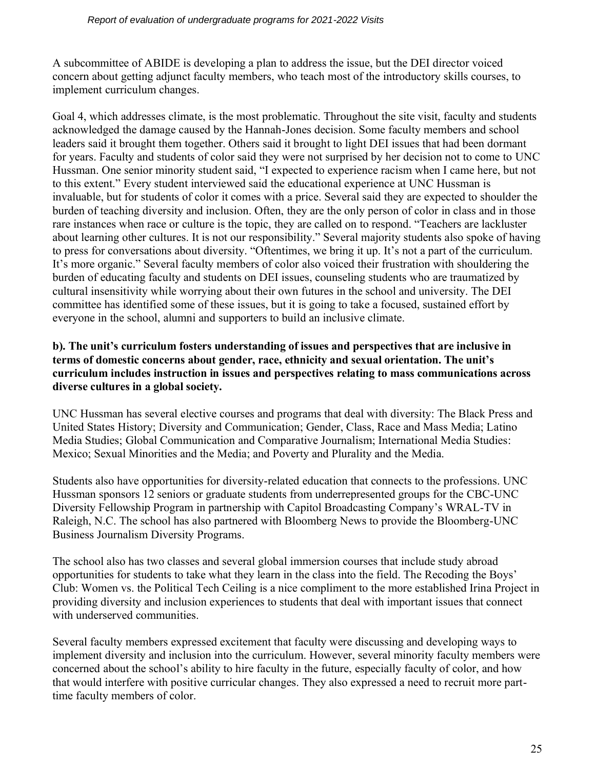A subcommittee of ABIDE is developing a plan to address the issue, but the DEI director voiced concern about getting adjunct faculty members, who teach most of the introductory skills courses, to implement curriculum changes.

Goal 4, which addresses climate, is the most problematic. Throughout the site visit, faculty and students acknowledged the damage caused by the Hannah-Jones decision. Some faculty members and school leaders said it brought them together. Others said it brought to light DEI issues that had been dormant for years. Faculty and students of color said they were not surprised by her decision not to come to UNC Hussman. One senior minority student said, "I expected to experience racism when I came here, but not to this extent." Every student interviewed said the educational experience at UNC Hussman is invaluable, but for students of color it comes with a price. Several said they are expected to shoulder the burden of teaching diversity and inclusion. Often, they are the only person of color in class and in those rare instances when race or culture is the topic, they are called on to respond. "Teachers are lackluster about learning other cultures. It is not our responsibility." Several majority students also spoke of having to press for conversations about diversity. "Oftentimes, we bring it up. It's not a part of the curriculum. It's more organic." Several faculty members of color also voiced their frustration with shouldering the burden of educating faculty and students on DEI issues, counseling students who are traumatized by cultural insensitivity while worrying about their own futures in the school and university. The DEI committee has identified some of these issues, but it is going to take a focused, sustained effort by everyone in the school, alumni and supporters to build an inclusive climate.

#### **b). The unit's curriculum fosters understanding of issues and perspectives that are inclusive in terms of domestic concerns about gender, race, ethnicity and sexual orientation. The unit's curriculum includes instruction in issues and perspectives relating to mass communications across diverse cultures in a global society.**

UNC Hussman has several elective courses and programs that deal with diversity: The Black Press and United States History; Diversity and Communication; Gender, Class, Race and Mass Media; Latino Media Studies; Global Communication and Comparative Journalism; International Media Studies: Mexico; Sexual Minorities and the Media; and Poverty and Plurality and the Media.

Students also have opportunities for diversity-related education that connects to the professions. UNC Hussman sponsors 12 seniors or graduate students from underrepresented groups for the CBC-UNC Diversity Fellowship Program in partnership with Capitol Broadcasting Company's WRAL-TV in Raleigh, N.C. The school has also partnered with Bloomberg News to provide the Bloomberg-UNC Business Journalism Diversity Programs.

The school also has two classes and several global immersion courses that include study abroad opportunities for students to take what they learn in the class into the field. The Recoding the Boys' Club: Women vs. the Political Tech Ceiling is a nice compliment to the more established Irina Project in providing diversity and inclusion experiences to students that deal with important issues that connect with underserved communities.

Several faculty members expressed excitement that faculty were discussing and developing ways to implement diversity and inclusion into the curriculum. However, several minority faculty members were concerned about the school's ability to hire faculty in the future, especially faculty of color, and how that would interfere with positive curricular changes. They also expressed a need to recruit more parttime faculty members of color.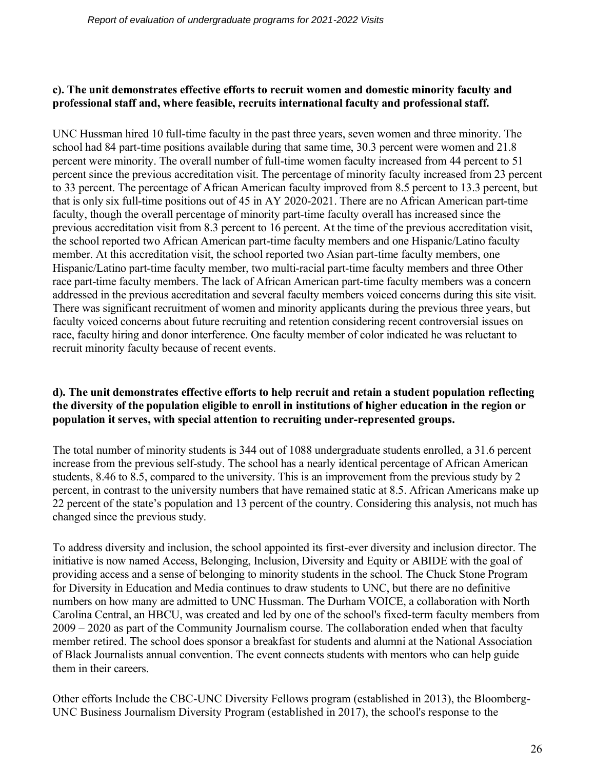#### **c). The unit demonstrates effective efforts to recruit women and domestic minority faculty and professional staff and, where feasible, recruits international faculty and professional staff.**

UNC Hussman hired 10 full-time faculty in the past three years, seven women and three minority. The school had 84 part-time positions available during that same time, 30.3 percent were women and 21.8 percent were minority. The overall number of full-time women faculty increased from 44 percent to 51 percent since the previous accreditation visit. The percentage of minority faculty increased from 23 percent to 33 percent. The percentage of African American faculty improved from 8.5 percent to 13.3 percent, but that is only six full-time positions out of 45 in AY 2020-2021. There are no African American part-time faculty, though the overall percentage of minority part-time faculty overall has increased since the previous accreditation visit from 8.3 percent to 16 percent. At the time of the previous accreditation visit, the school reported two African American part-time faculty members and one Hispanic/Latino faculty member. At this accreditation visit, the school reported two Asian part-time faculty members, one Hispanic/Latino part-time faculty member, two multi-racial part-time faculty members and three Other race part-time faculty members. The lack of African American part-time faculty members was a concern addressed in the previous accreditation and several faculty members voiced concerns during this site visit. There was significant recruitment of women and minority applicants during the previous three years, but faculty voiced concerns about future recruiting and retention considering recent controversial issues on race, faculty hiring and donor interference. One faculty member of color indicated he was reluctant to recruit minority faculty because of recent events.

#### **d). The unit demonstrates effective efforts to help recruit and retain a student population reflecting the diversity of the population eligible to enroll in institutions of higher education in the region or population it serves, with special attention to recruiting under-represented groups.**

The total number of minority students is 344 out of 1088 undergraduate students enrolled, a 31.6 percent increase from the previous self-study. The school has a nearly identical percentage of African American students, 8.46 to 8.5, compared to the university. This is an improvement from the previous study by 2 percent, in contrast to the university numbers that have remained static at 8.5. African Americans make up 22 percent of the state's population and 13 percent of the country. Considering this analysis, not much has changed since the previous study.

To address diversity and inclusion, the school appointed its first-ever diversity and inclusion director. The initiative is now named Access, Belonging, Inclusion, Diversity and Equity or ABIDE with the goal of providing access and a sense of belonging to minority students in the school. The Chuck Stone Program for Diversity in Education and Media continues to draw students to UNC, but there are no definitive numbers on how many are admitted to UNC Hussman. The Durham VOICE, a collaboration with North Carolina Central, an HBCU, was created and led by one of the school's fixed-term faculty members from 2009 – 2020 as part of the Community Journalism course. The collaboration ended when that faculty member retired. The school does sponsor a breakfast for students and alumni at the National Association of Black Journalists annual convention. The event connects students with mentors who can help guide them in their careers.

Other efforts Include the CBC-UNC Diversity Fellows program (established in 2013), the Bloomberg-UNC Business Journalism Diversity Program (established in 2017), the school's response to the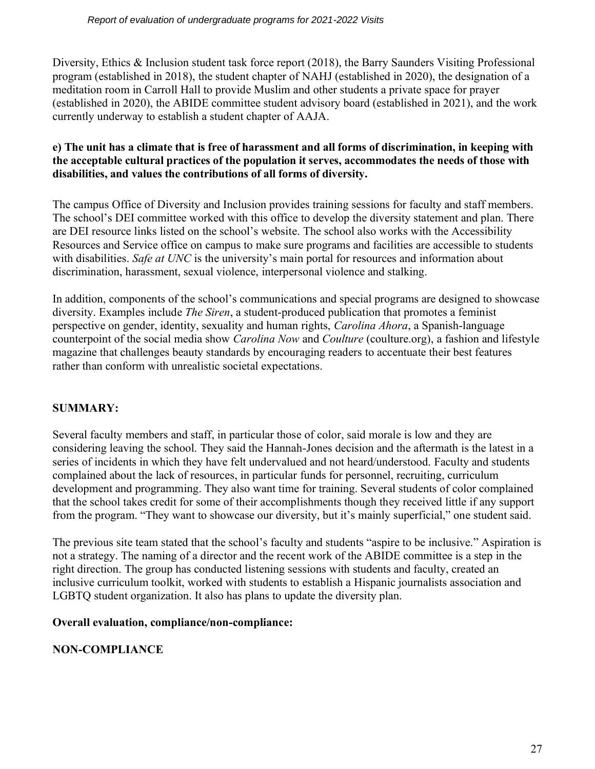Diversity, Ethics & Inclusion student task force report (2018), the Barry Saunders Visiting Professional program (established in 2018), the student chapter of NAHJ (established in 2020), the designation of a meditation room in Carroll Hall to provide Muslim and other students a private space for prayer (established in 2020), the ABIDE committee student advisory board (established in 2021), and the work currently underway to establish a student chapter of AAJA.

### **e) The unit has a climate that is free of harassment and all forms of discrimination, in keeping with the acceptable cultural practices of the population it serves, accommodates the needs of those with disabilities, and values the contributions of all forms of diversity.**

The campus Office of Diversity and Inclusion provides training sessions for faculty and staff members. The school's DEI committee worked with this office to develop the diversity statement and plan. There are DEI resource links listed on the school's website. The school also works with the Accessibility Resources and Service office on campus to make sure programs and facilities are accessible to students with disabilities. *Safe at UNC* is the university's main portal for resources and information about discrimination, harassment, sexual violence, interpersonal violence and stalking.

In addition, components of the school's communications and special programs are designed to showcase diversity. Examples include *The Siren*, a student-produced publication that promotes a feminist perspective on gender, identity, sexuality and human rights, *Carolina Ahora*, a Spanish-language counterpoint of the social media show *Carolina Now* and *Coulture* (coulture.org), a fashion and lifestyle magazine that challenges beauty standards by encouraging readers to accentuate their best features rather than conform with unrealistic societal expectations.

## **SUMMARY:**

Several faculty members and staff, in particular those of color, said morale is low and they are considering leaving the school. They said the Hannah-Jones decision and the aftermath is the latest in a series of incidents in which they have felt undervalued and not heard/understood. Faculty and students complained about the lack of resources, in particular funds for personnel, recruiting, curriculum development and programming. They also want time for training. Several students of color complained that the school takes credit for some of their accomplishments though they received little if any support from the program. "They want to showcase our diversity, but it's mainly superficial," one student said.

The previous site team stated that the school's faculty and students "aspire to be inclusive." Aspiration is not a strategy. The naming of a director and the recent work of the ABIDE committee is a step in the right direction. The group has conducted listening sessions with students and faculty, created an inclusive curriculum toolkit, worked with students to establish a Hispanic journalists association and LGBTQ student organization. It also has plans to update the diversity plan.

## **Overall evaluation, compliance/non-compliance:**

## **NON-COMPLIANCE**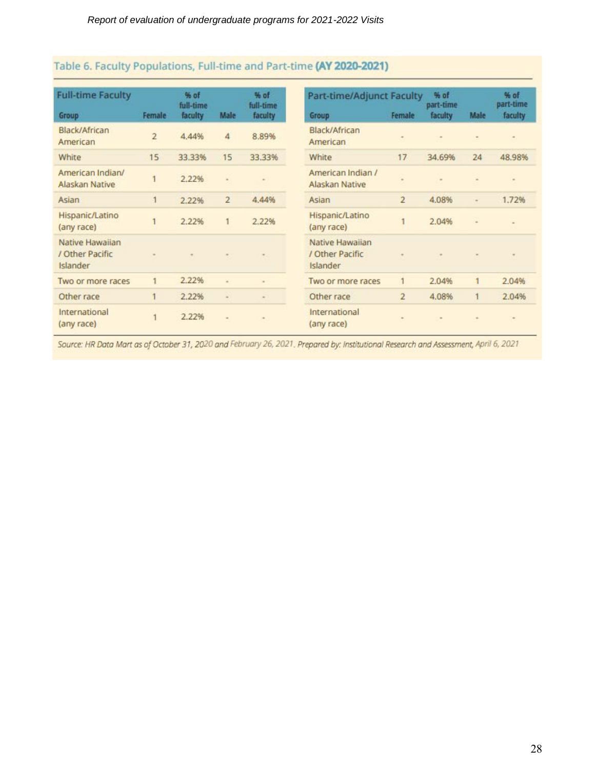| <b>Full-time Faculty</b><br>Group              | Female         | % of<br>full-time<br>faculty | Male           | % of<br>full-time<br>faculty | Part-time/Adjunct Faculty<br>Group             | Female                   | % of<br>part-time<br>faculty | Male | % of<br>part-time<br>faculty |
|------------------------------------------------|----------------|------------------------------|----------------|------------------------------|------------------------------------------------|--------------------------|------------------------------|------|------------------------------|
| Black/African<br>American                      | $\overline{2}$ | 4.44%                        | 4              | 8.89%                        | Black/African<br>American                      | $\equiv$                 |                              |      | $\blacksquare$               |
| White                                          | 15             | 33.33%                       | 15             | 33.33%                       | White                                          | 17                       | 34.69%                       | 24   | 48.98%                       |
| American Indian/<br>Alaskan Native             |                | 2.22%                        | ×              | ۰                            | American Indian /<br>Alaskan Native            | $\overline{\phantom{a}}$ |                              |      | $\blacksquare$               |
| Asian                                          | 1              | 2.22%                        | $\overline{2}$ | 4.44%                        | Asian                                          | $\overline{2}$           | 4.08%                        | a.   | 1.72%                        |
| Hispanic/Latino<br>(any race)                  |                | 2.22%                        |                | 2.22%                        | Hispanic/Latino<br>(any race)                  |                          | 2.04%                        | ٠    |                              |
| Native Hawaiian<br>/ Other Pacific<br>Islander |                |                              |                |                              | Native Hawaiian<br>/ Other Pacific<br>Islander |                          |                              |      |                              |
| Two or more races                              | 1              | 2.22%                        | ×              | $\sim$                       | Two or more races                              | 1                        | 2.04%                        | 1    | 2.04%                        |
| Other race                                     |                | 2.22%                        | $\frac{1}{2}$  | $\sim$                       | Other race                                     | $\overline{2}$           | 4.08%                        |      | 2.04%                        |
| International<br>(any race)                    |                | 2.22%                        | ۰              | ۰                            | International<br>(any race)                    |                          |                              |      |                              |

## Table 6. Faculty Populations, Full-time and Part-time (AY 2020-2021)

Source: HR Data Mart as of October 31, 2020 and February 26, 2021. Prepared by: Institutional Research and Assessment, April 6, 2021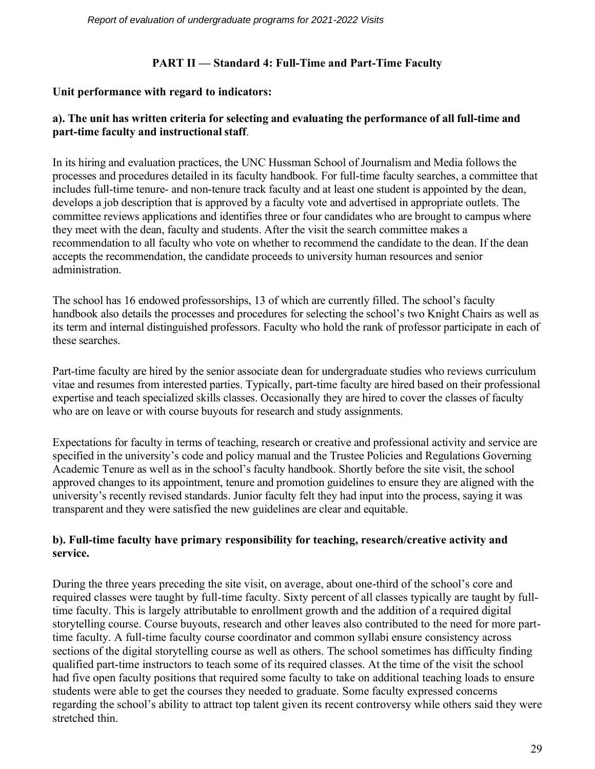#### **PART II — Standard 4: Full-Time and Part-Time Faculty**

### **Unit performance with regard to indicators:**

### **a). The unit has written criteria for selecting and evaluating the performance of all full-time and part-time faculty and instructional staff**.

In its hiring and evaluation practices, the UNC Hussman School of Journalism and Media follows the processes and procedures detailed in its faculty handbook. For full-time faculty searches, a committee that includes full-time tenure- and non-tenure track faculty and at least one student is appointed by the dean, develops a job description that is approved by a faculty vote and advertised in appropriate outlets. The committee reviews applications and identifies three or four candidates who are brought to campus where they meet with the dean, faculty and students. After the visit the search committee makes a recommendation to all faculty who vote on whether to recommend the candidate to the dean. If the dean accepts the recommendation, the candidate proceeds to university human resources and senior administration.

The school has 16 endowed professorships, 13 of which are currently filled. The school's faculty handbook also details the processes and procedures for selecting the school's two Knight Chairs as well as its term and internal distinguished professors. Faculty who hold the rank of professor participate in each of these searches.

Part-time faculty are hired by the senior associate dean for undergraduate studies who reviews curriculum vitae and resumes from interested parties. Typically, part-time faculty are hired based on their professional expertise and teach specialized skills classes. Occasionally they are hired to cover the classes of faculty who are on leave or with course buyouts for research and study assignments.

Expectations for faculty in terms of teaching, research or creative and professional activity and service are specified in the university's code and policy manual and the Trustee Policies and Regulations Governing Academic Tenure as well as in the school's faculty handbook. Shortly before the site visit, the school approved changes to its appointment, tenure and promotion guidelines to ensure they are aligned with the university's recently revised standards. Junior faculty felt they had input into the process, saying it was transparent and they were satisfied the new guidelines are clear and equitable.

### **b). Full-time faculty have primary responsibility for teaching, research/creative activity and service.**

During the three years preceding the site visit, on average, about one-third of the school's core and required classes were taught by full-time faculty. Sixty percent of all classes typically are taught by fulltime faculty. This is largely attributable to enrollment growth and the addition of a required digital storytelling course. Course buyouts, research and other leaves also contributed to the need for more parttime faculty. A full-time faculty course coordinator and common syllabi ensure consistency across sections of the digital storytelling course as well as others. The school sometimes has difficulty finding qualified part-time instructors to teach some of its required classes. At the time of the visit the school had five open faculty positions that required some faculty to take on additional teaching loads to ensure students were able to get the courses they needed to graduate. Some faculty expressed concerns regarding the school's ability to attract top talent given its recent controversy while others said they were stretched thin.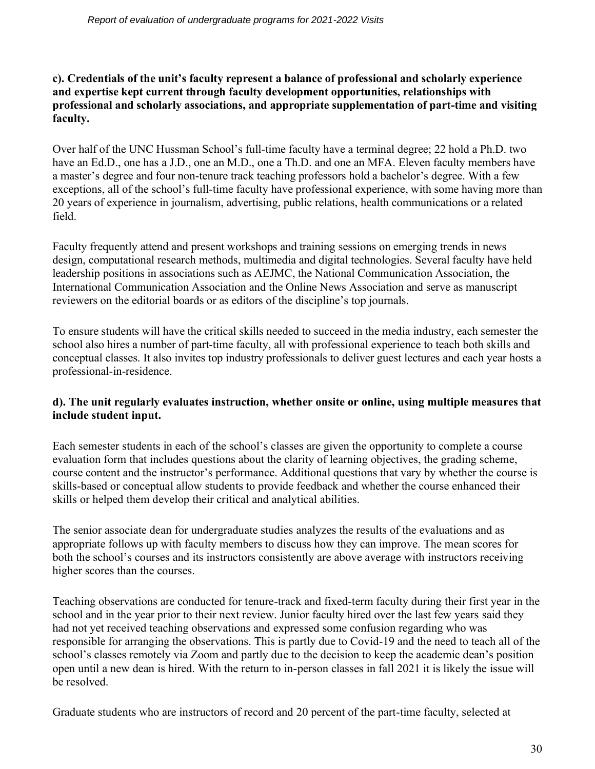**c). Credentials of the unit's faculty represent a balance of professional and scholarly experience and expertise kept current through faculty development opportunities, relationships with professional and scholarly associations, and appropriate supplementation of part-time and visiting faculty.**

Over half of the UNC Hussman School's full-time faculty have a terminal degree; 22 hold a Ph.D. two have an Ed.D., one has a J.D., one an M.D., one a Th.D. and one an MFA. Eleven faculty members have a master's degree and four non-tenure track teaching professors hold a bachelor's degree. With a few exceptions, all of the school's full-time faculty have professional experience, with some having more than 20 years of experience in journalism, advertising, public relations, health communications or a related field.

Faculty frequently attend and present workshops and training sessions on emerging trends in news design, computational research methods, multimedia and digital technologies. Several faculty have held leadership positions in associations such as AEJMC, the National Communication Association, the International Communication Association and the Online News Association and serve as manuscript reviewers on the editorial boards or as editors of the discipline's top journals.

To ensure students will have the critical skills needed to succeed in the media industry, each semester the school also hires a number of part-time faculty, all with professional experience to teach both skills and conceptual classes. It also invites top industry professionals to deliver guest lectures and each year hosts a professional-in-residence.

#### **d). The unit regularly evaluates instruction, whether onsite or online, using multiple measures that include student input.**

Each semester students in each of the school's classes are given the opportunity to complete a course evaluation form that includes questions about the clarity of learning objectives, the grading scheme, course content and the instructor's performance. Additional questions that vary by whether the course is skills-based or conceptual allow students to provide feedback and whether the course enhanced their skills or helped them develop their critical and analytical abilities.

The senior associate dean for undergraduate studies analyzes the results of the evaluations and as appropriate follows up with faculty members to discuss how they can improve. The mean scores for both the school's courses and its instructors consistently are above average with instructors receiving higher scores than the courses.

Teaching observations are conducted for tenure-track and fixed-term faculty during their first year in the school and in the year prior to their next review. Junior faculty hired over the last few years said they had not yet received teaching observations and expressed some confusion regarding who was responsible for arranging the observations. This is partly due to Covid-19 and the need to teach all of the school's classes remotely via Zoom and partly due to the decision to keep the academic dean's position open until a new dean is hired. With the return to in-person classes in fall 2021 it is likely the issue will be resolved.

Graduate students who are instructors of record and 20 percent of the part-time faculty, selected at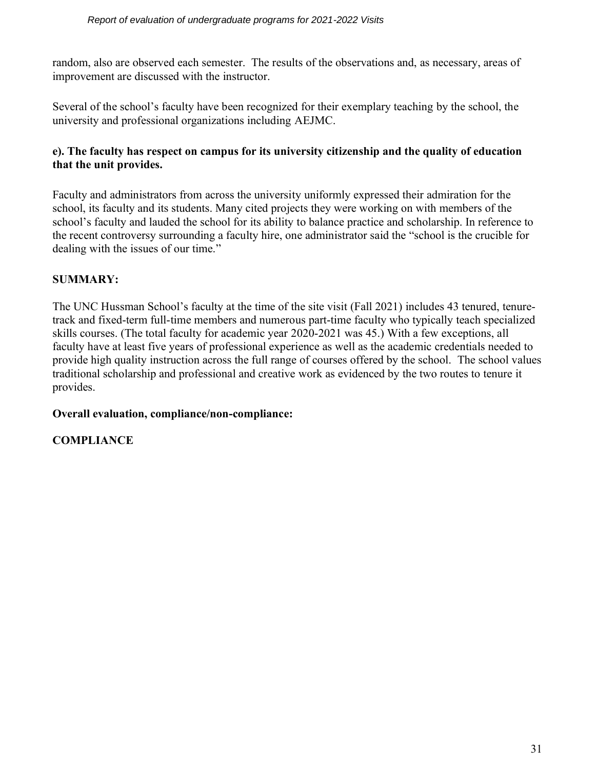random, also are observed each semester. The results of the observations and, as necessary, areas of improvement are discussed with the instructor.

Several of the school's faculty have been recognized for their exemplary teaching by the school, the university and professional organizations including AEJMC.

#### **e). The faculty has respect on campus for its university citizenship and the quality of education that the unit provides.**

Faculty and administrators from across the university uniformly expressed their admiration for the school, its faculty and its students. Many cited projects they were working on with members of the school's faculty and lauded the school for its ability to balance practice and scholarship. In reference to the recent controversy surrounding a faculty hire, one administrator said the "school is the crucible for dealing with the issues of our time."

### **SUMMARY:**

The UNC Hussman School's faculty at the time of the site visit (Fall 2021) includes 43 tenured, tenuretrack and fixed-term full-time members and numerous part-time faculty who typically teach specialized skills courses. (The total faculty for academic year 2020-2021 was 45.) With a few exceptions, all faculty have at least five years of professional experience as well as the academic credentials needed to provide high quality instruction across the full range of courses offered by the school. The school values traditional scholarship and professional and creative work as evidenced by the two routes to tenure it provides.

#### **Overall evaluation, compliance/non-compliance:**

#### **COMPLIANCE**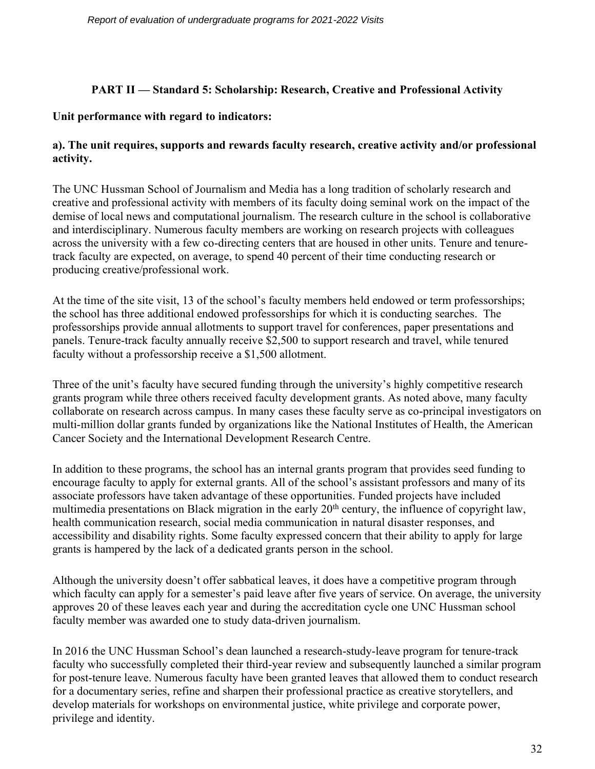### **PART II — Standard 5: Scholarship: Research, Creative and Professional Activity**

#### **Unit performance with regard to indicators:**

### **a). The unit requires, supports and rewards faculty research, creative activity and/or professional activity.**

The UNC Hussman School of Journalism and Media has a long tradition of scholarly research and creative and professional activity with members of its faculty doing seminal work on the impact of the demise of local news and computational journalism. The research culture in the school is collaborative and interdisciplinary. Numerous faculty members are working on research projects with colleagues across the university with a few co-directing centers that are housed in other units. Tenure and tenuretrack faculty are expected, on average, to spend 40 percent of their time conducting research or producing creative/professional work.

At the time of the site visit, 13 of the school's faculty members held endowed or term professorships; the school has three additional endowed professorships for which it is conducting searches. The professorships provide annual allotments to support travel for conferences, paper presentations and panels. Tenure-track faculty annually receive \$2,500 to support research and travel, while tenured faculty without a professorship receive a \$1,500 allotment.

Three of the unit's faculty have secured funding through the university's highly competitive research grants program while three others received faculty development grants. As noted above, many faculty collaborate on research across campus. In many cases these faculty serve as co-principal investigators on multi-million dollar grants funded by organizations like the National Institutes of Health, the American Cancer Society and the International Development Research Centre.

In addition to these programs, the school has an internal grants program that provides seed funding to encourage faculty to apply for external grants. All of the school's assistant professors and many of its associate professors have taken advantage of these opportunities. Funded projects have included multimedia presentations on Black migration in the early  $20<sup>th</sup>$  century, the influence of copyright law, health communication research, social media communication in natural disaster responses, and accessibility and disability rights. Some faculty expressed concern that their ability to apply for large grants is hampered by the lack of a dedicated grants person in the school.

Although the university doesn't offer sabbatical leaves, it does have a competitive program through which faculty can apply for a semester's paid leave after five years of service. On average, the university approves 20 of these leaves each year and during the accreditation cycle one UNC Hussman school faculty member was awarded one to study data-driven journalism.

In 2016 the UNC Hussman School's dean launched a research-study-leave program for tenure-track faculty who successfully completed their third-year review and subsequently launched a similar program for post-tenure leave. Numerous faculty have been granted leaves that allowed them to conduct research for a documentary series, refine and sharpen their professional practice as creative storytellers, and develop materials for workshops on environmental justice, white privilege and corporate power, privilege and identity.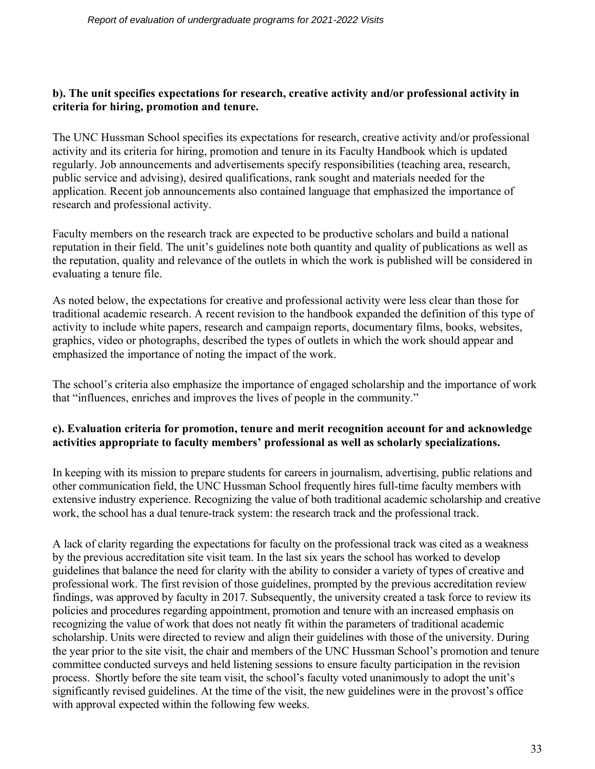#### **b). The unit specifies expectations for research, creative activity and/or professional activity in criteria for hiring, promotion and tenure.**

The UNC Hussman School specifies its expectations for research, creative activity and/or professional activity and its criteria for hiring, promotion and tenure in its Faculty Handbook which is updated regularly. Job announcements and advertisements specify responsibilities (teaching area, research, public service and advising), desired qualifications, rank sought and materials needed for the application. Recent job announcements also contained language that emphasized the importance of research and professional activity.

Faculty members on the research track are expected to be productive scholars and build a national reputation in their field. The unit's guidelines note both quantity and quality of publications as well as the reputation, quality and relevance of the outlets in which the work is published will be considered in evaluating a tenure file.

As noted below, the expectations for creative and professional activity were less clear than those for traditional academic research. A recent revision to the handbook expanded the definition of this type of activity to include white papers, research and campaign reports, documentary films, books, websites, graphics, video or photographs, described the types of outlets in which the work should appear and emphasized the importance of noting the impact of the work.

The school's criteria also emphasize the importance of engaged scholarship and the importance of work that "influences, enriches and improves the lives of people in the community."

#### **c). Evaluation criteria for promotion, tenure and merit recognition account for and acknowledge activities appropriate to faculty members' professional as well as scholarly specializations.**

In keeping with its mission to prepare students for careers in journalism, advertising, public relations and other communication field, the UNC Hussman School frequently hires full-time faculty members with extensive industry experience. Recognizing the value of both traditional academic scholarship and creative work, the school has a dual tenure-track system: the research track and the professional track.

A lack of clarity regarding the expectations for faculty on the professional track was cited as a weakness by the previous accreditation site visit team. In the last six years the school has worked to develop guidelines that balance the need for clarity with the ability to consider a variety of types of creative and professional work. The first revision of those guidelines, prompted by the previous accreditation review findings, was approved by faculty in 2017. Subsequently, the university created a task force to review its policies and procedures regarding appointment, promotion and tenure with an increased emphasis on recognizing the value of work that does not neatly fit within the parameters of traditional academic scholarship. Units were directed to review and align their guidelines with those of the university. During the year prior to the site visit, the chair and members of the UNC Hussman School's promotion and tenure committee conducted surveys and held listening sessions to ensure faculty participation in the revision process. Shortly before the site team visit, the school's faculty voted unanimously to adopt the unit's significantly revised guidelines. At the time of the visit, the new guidelines were in the provost's office with approval expected within the following few weeks.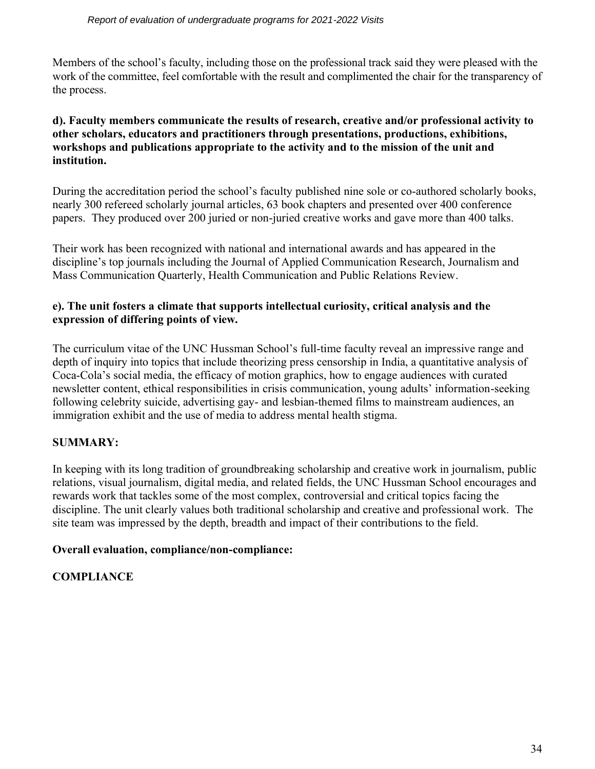Members of the school's faculty, including those on the professional track said they were pleased with the work of the committee, feel comfortable with the result and complimented the chair for the transparency of the process.

#### **d). Faculty members communicate the results of research, creative and/or professional activity to other scholars, educators and practitioners through presentations, productions, exhibitions, workshops and publications appropriate to the activity and to the mission of the unit and institution.**

During the accreditation period the school's faculty published nine sole or co-authored scholarly books, nearly 300 refereed scholarly journal articles, 63 book chapters and presented over 400 conference papers. They produced over 200 juried or non-juried creative works and gave more than 400 talks.

Their work has been recognized with national and international awards and has appeared in the discipline's top journals including the Journal of Applied Communication Research, Journalism and Mass Communication Quarterly, Health Communication and Public Relations Review.

#### **e). The unit fosters a climate that supports intellectual curiosity, critical analysis and the expression of differing points of view.**

The curriculum vitae of the UNC Hussman School's full-time faculty reveal an impressive range and depth of inquiry into topics that include theorizing press censorship in India, a quantitative analysis of Coca-Cola's social media, the efficacy of motion graphics, how to engage audiences with curated newsletter content, ethical responsibilities in crisis communication, young adults' information-seeking following celebrity suicide, advertising gay- and lesbian-themed films to mainstream audiences, an immigration exhibit and the use of media to address mental health stigma.

## **SUMMARY:**

In keeping with its long tradition of groundbreaking scholarship and creative work in journalism, public relations, visual journalism, digital media, and related fields, the UNC Hussman School encourages and rewards work that tackles some of the most complex, controversial and critical topics facing the discipline. The unit clearly values both traditional scholarship and creative and professional work. The site team was impressed by the depth, breadth and impact of their contributions to the field.

## **Overall evaluation, compliance/non-compliance:**

## **COMPLIANCE**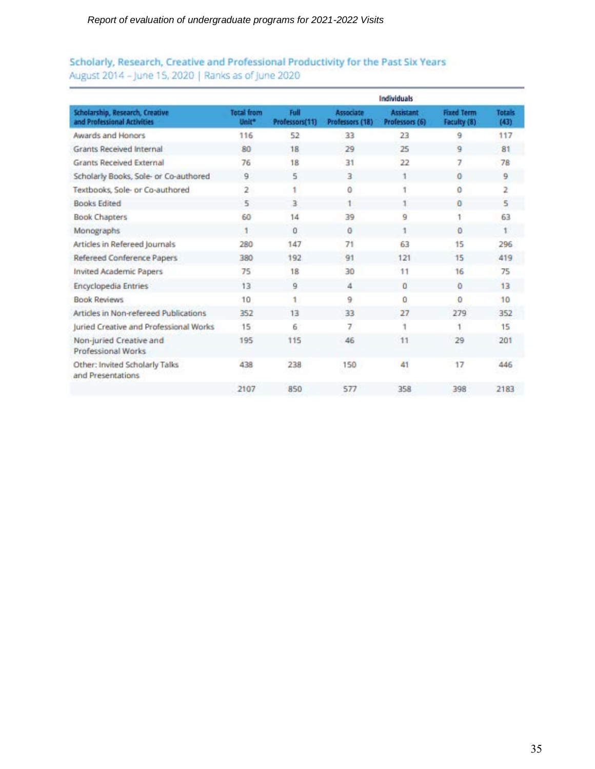### Scholarly, Research, Creative and Professional Productivity for the Past Six Years August 2014 - June 15, 2020 | Ranks as of June 2020

|                                                                |                            |                        |                              | <b>Individuals</b>          |                                  |                       |
|----------------------------------------------------------------|----------------------------|------------------------|------------------------------|-----------------------------|----------------------------------|-----------------------|
| Scholarship, Research, Creative<br>and Professional Activities | <b>Total from</b><br>Unit* | Full<br>Professors(11) | Associate<br>Professors (18) | Assistant<br>Professors (6) | <b>Fixed Teem</b><br>Faculty (8) | <b>Totals</b><br>(43) |
| Awards and Honors                                              | 116                        | 52                     | 33                           | 23                          | 9                                | 117                   |
| Grants Received Internal                                       | 80                         | 18                     | 29                           | 25                          | 9                                | 81                    |
| Grants Received External                                       | 76                         | 18                     | 31                           | 22                          | 7                                | 78                    |
| Scholarly Books, Sole- or Co-authored                          | 9                          | 5                      | з                            |                             | $\bf{0}$                         | 9                     |
| Textbooks, Sole- or Co-authored                                | 2                          |                        | o                            |                             | $\Omega$                         | 2                     |
| <b>Books Edited</b>                                            | 5                          | 3.                     |                              |                             | $\bf{0}$                         | 5                     |
| <b>Book Chapters</b>                                           | 60                         | 14                     | 39                           | 9                           |                                  | 63                    |
| Monographs                                                     |                            | 0                      | 0                            |                             | 0                                |                       |
| Articles in Refereed Journals                                  | 280                        | 147                    | 71                           | 63                          | 15                               | 296                   |
| Refereed Conference Papers                                     | 380                        | 192                    | 91                           | 121                         | 15                               | 419                   |
| <b>Invited Academic Papers</b>                                 | 75                         | 18                     | 30                           | 11                          | 16                               | 75                    |
| <b>Encyclopedia Entries</b>                                    | 13                         | 9                      | 4                            | o                           | o                                | 13                    |
| <b>Book Reviews</b>                                            | 10                         |                        | 9                            | 0                           | $\Omega$                         | 10                    |
| Articles in Non-refereed Publications                          | 352                        | 13                     | 33                           | 27                          | 279                              | 352                   |
| Juried Creative and Professional Works                         | 15                         | 6                      | 7                            |                             |                                  | 15                    |
| Non-juried Creative and<br>Professional Works                  | 195                        | 115                    | 46                           | 11                          | 29                               | 201                   |
| Other: Invited Scholarly Talks<br>and Presentations            | 438                        | 238                    | 150                          | 41                          | 17                               | 446                   |
|                                                                | 2107                       | 850                    | 577                          | 358                         | 398                              | 2183                  |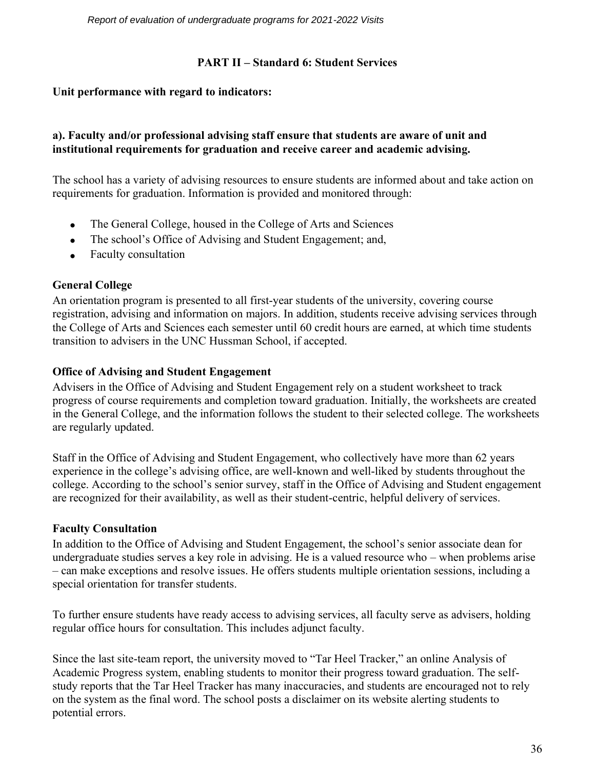#### **PART II – Standard 6: Student Services**

#### **Unit performance with regard to indicators:**

#### **a). Faculty and/or professional advising staff ensure that students are aware of unit and institutional requirements for graduation and receive career and academic advising.**

The school has a variety of advising resources to ensure students are informed about and take action on requirements for graduation. Information is provided and monitored through:

- The General College, housed in the College of Arts and Sciences
- The school's Office of Advising and Student Engagement; and,
- Faculty consultation

### **General College**

An orientation program is presented to all first-year students of the university, covering course registration, advising and information on majors. In addition, students receive advising services through the College of Arts and Sciences each semester until 60 credit hours are earned, at which time students transition to advisers in the UNC Hussman School, if accepted.

### **Office of Advising and Student Engagement**

Advisers in the Office of Advising and Student Engagement rely on a student worksheet to track progress of course requirements and completion toward graduation. Initially, the worksheets are created in the General College, and the information follows the student to their selected college. The worksheets are regularly updated.

Staff in the Office of Advising and Student Engagement, who collectively have more than 62 years experience in the college's advising office, are well-known and well-liked by students throughout the college. According to the school's senior survey, staff in the Office of Advising and Student engagement are recognized for their availability, as well as their student-centric, helpful delivery of services.

#### **Faculty Consultation**

In addition to the Office of Advising and Student Engagement, the school's senior associate dean for undergraduate studies serves a key role in advising. He is a valued resource who – when problems arise – can make exceptions and resolve issues. He offers students multiple orientation sessions, including a special orientation for transfer students.

To further ensure students have ready access to advising services, all faculty serve as advisers, holding regular office hours for consultation. This includes adjunct faculty.

Since the last site-team report, the university moved to "Tar Heel Tracker," an online Analysis of Academic Progress system, enabling students to monitor their progress toward graduation. The selfstudy reports that the Tar Heel Tracker has many inaccuracies, and students are encouraged not to rely on the system as the final word. The school posts a disclaimer on its website alerting students to potential errors.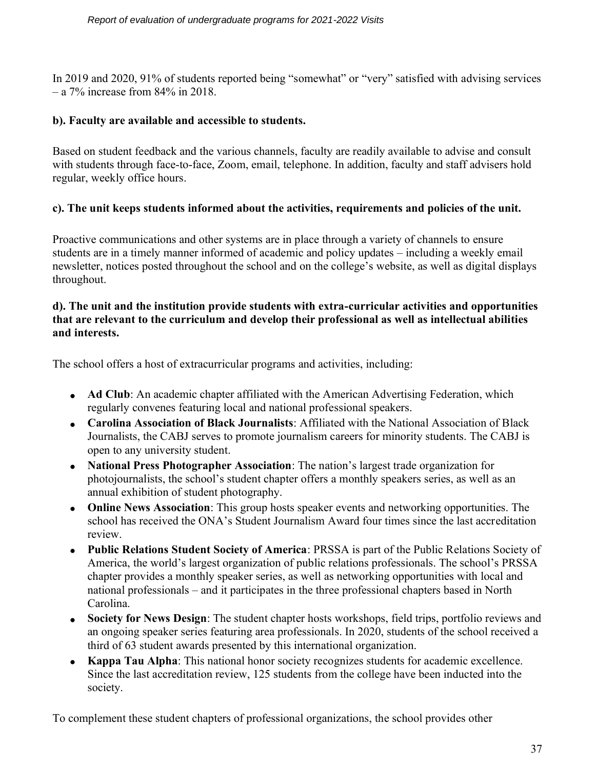In 2019 and 2020, 91% of students reported being "somewhat" or "very" satisfied with advising services  $-$  a 7% increase from 84% in 2018.

#### **b). Faculty are available and accessible to students.**

Based on student feedback and the various channels, faculty are readily available to advise and consult with students through face-to-face, Zoom, email, telephone. In addition, faculty and staff advisers hold regular, weekly office hours.

#### **c). The unit keeps students informed about the activities, requirements and policies of the unit.**

Proactive communications and other systems are in place through a variety of channels to ensure students are in a timely manner informed of academic and policy updates – including a weekly email newsletter, notices posted throughout the school and on the college's website, as well as digital displays throughout.

#### **d). The unit and the institution provide students with extra-curricular activities and opportunities that are relevant to the curriculum and develop their professional as well as intellectual abilities and interests.**

The school offers a host of extracurricular programs and activities, including:

- **Ad Club**: An academic chapter affiliated with the American Advertising Federation, which regularly convenes featuring local and national professional speakers.
- **Carolina Association of Black Journalists**: Affiliated with the National Association of Black Journalists, the CABJ serves to promote journalism careers for minority students. The CABJ is open to any university student.
- **National Press Photographer Association**: The nation's largest trade organization for photojournalists, the school's student chapter offers a monthly speakers series, as well as an annual exhibition of student photography.
- **Online News Association**: This group hosts speaker events and networking opportunities. The school has received the ONA's Student Journalism Award four times since the last accreditation review.
- **Public Relations Student Society of America**: PRSSA is part of the Public Relations Society of America, the world's largest organization of public relations professionals. The school's PRSSA chapter provides a monthly speaker series, as well as networking opportunities with local and national professionals – and it participates in the three professional chapters based in North Carolina.
- **Society for News Design**: The student chapter hosts workshops, field trips, portfolio reviews and an ongoing speaker series featuring area professionals. In 2020, students of the school received a third of 63 student awards presented by this international organization.
- **Kappa Tau Alpha**: This national honor society recognizes students for academic excellence. Since the last accreditation review, 125 students from the college have been inducted into the society.

To complement these student chapters of professional organizations, the school provides other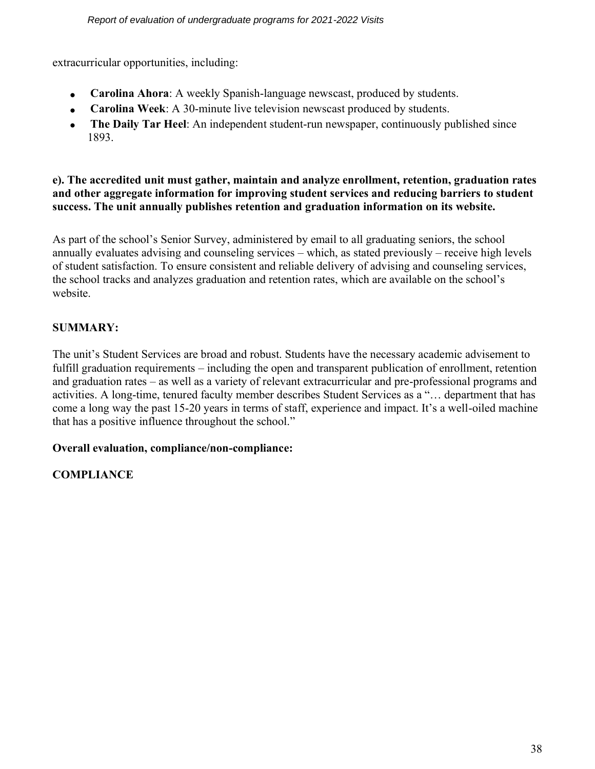extracurricular opportunities, including:

- **Carolina Ahora**: A weekly Spanish-language newscast, produced by students.
- **Carolina Week**: A 30-minute live television newscast produced by students.
- **The Daily Tar Heel**: An independent student-run newspaper, continuously published since 1893.

#### **e). The accredited unit must gather, maintain and analyze enrollment, retention, graduation rates and other aggregate information for improving student services and reducing barriers to student success. The unit annually publishes retention and graduation information on its website.**

As part of the school's Senior Survey, administered by email to all graduating seniors, the school annually evaluates advising and counseling services – which, as stated previously – receive high levels of student satisfaction. To ensure consistent and reliable delivery of advising and counseling services, the school tracks and analyzes graduation and retention rates, which are available on the school's website.

## **SUMMARY:**

The unit's Student Services are broad and robust. Students have the necessary academic advisement to fulfill graduation requirements – including the open and transparent publication of enrollment, retention and graduation rates – as well as a variety of relevant extracurricular and pre-professional programs and activities. A long-time, tenured faculty member describes Student Services as a "… department that has come a long way the past 15-20 years in terms of staff, experience and impact. It's a well-oiled machine that has a positive influence throughout the school."

## **Overall evaluation, compliance/non-compliance:**

## **COMPLIANCE**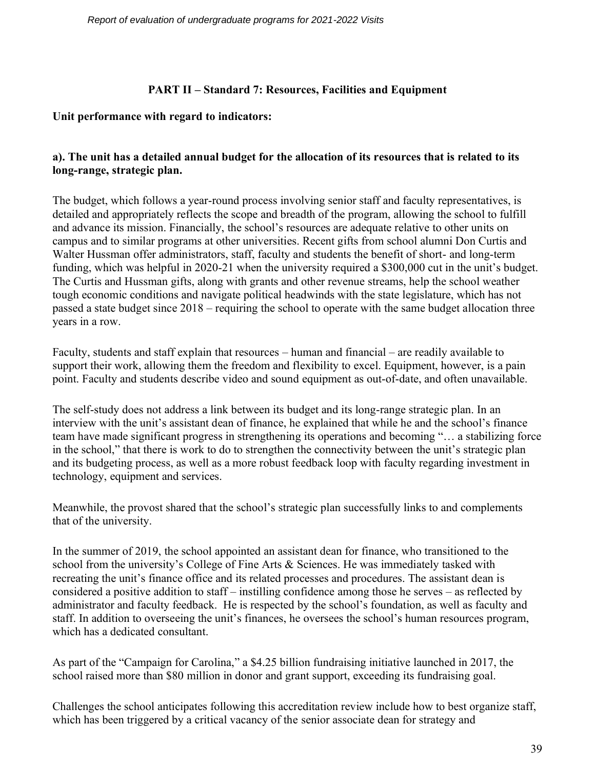### **PART II – Standard 7: Resources, Facilities and Equipment**

#### **Unit performance with regard to indicators:**

### **a). The unit has a detailed annual budget for the allocation of its resources that is related to its long-range, strategic plan.**

The budget, which follows a year-round process involving senior staff and faculty representatives, is detailed and appropriately reflects the scope and breadth of the program, allowing the school to fulfill and advance its mission. Financially, the school's resources are adequate relative to other units on campus and to similar programs at other universities. Recent gifts from school alumni Don Curtis and Walter Hussman offer administrators, staff, faculty and students the benefit of short- and long-term funding, which was helpful in 2020-21 when the university required a \$300,000 cut in the unit's budget. The Curtis and Hussman gifts, along with grants and other revenue streams, help the school weather tough economic conditions and navigate political headwinds with the state legislature, which has not passed a state budget since 2018 – requiring the school to operate with the same budget allocation three years in a row.

Faculty, students and staff explain that resources – human and financial – are readily available to support their work, allowing them the freedom and flexibility to excel. Equipment, however, is a pain point. Faculty and students describe video and sound equipment as out-of-date, and often unavailable.

The self-study does not address a link between its budget and its long-range strategic plan. In an interview with the unit's assistant dean of finance, he explained that while he and the school's finance team have made significant progress in strengthening its operations and becoming "… a stabilizing force in the school," that there is work to do to strengthen the connectivity between the unit's strategic plan and its budgeting process, as well as a more robust feedback loop with faculty regarding investment in technology, equipment and services.

Meanwhile, the provost shared that the school's strategic plan successfully links to and complements that of the university.

In the summer of 2019, the school appointed an assistant dean for finance, who transitioned to the school from the university's College of Fine Arts & Sciences. He was immediately tasked with recreating the unit's finance office and its related processes and procedures. The assistant dean is considered a positive addition to staff – instilling confidence among those he serves – as reflected by administrator and faculty feedback. He is respected by the school's foundation, as well as faculty and staff. In addition to overseeing the unit's finances, he oversees the school's human resources program, which has a dedicated consultant.

As part of the "Campaign for Carolina," a \$4.25 billion fundraising initiative launched in 2017, the school raised more than \$80 million in donor and grant support, exceeding its fundraising goal.

Challenges the school anticipates following this accreditation review include how to best organize staff, which has been triggered by a critical vacancy of the senior associate dean for strategy and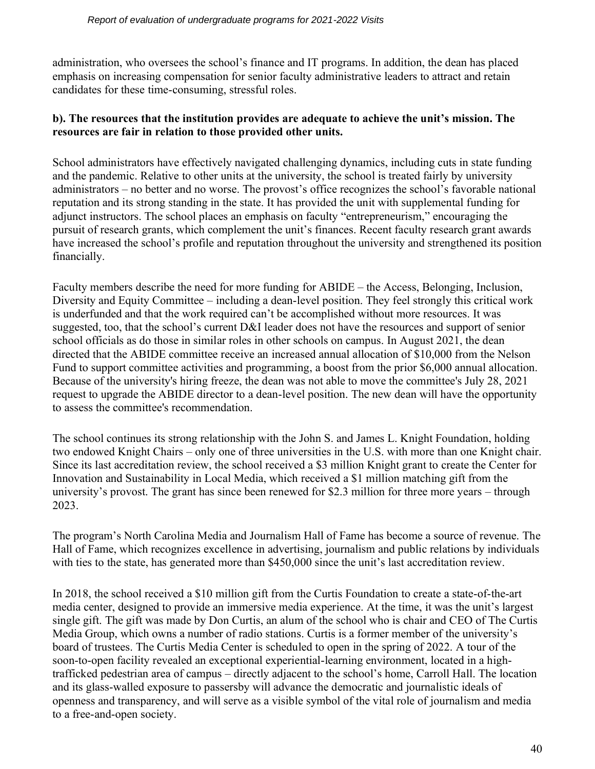administration, who oversees the school's finance and IT programs. In addition, the dean has placed emphasis on increasing compensation for senior faculty administrative leaders to attract and retain candidates for these time-consuming, stressful roles.

#### **b). The resources that the institution provides are adequate to achieve the unit's mission. The resources are fair in relation to those provided other units.**

School administrators have effectively navigated challenging dynamics, including cuts in state funding and the pandemic. Relative to other units at the university, the school is treated fairly by university administrators – no better and no worse. The provost's office recognizes the school's favorable national reputation and its strong standing in the state. It has provided the unit with supplemental funding for adjunct instructors. The school places an emphasis on faculty "entrepreneurism," encouraging the pursuit of research grants, which complement the unit's finances. Recent faculty research grant awards have increased the school's profile and reputation throughout the university and strengthened its position financially.

Faculty members describe the need for more funding for ABIDE – the Access, Belonging, Inclusion, Diversity and Equity Committee – including a dean-level position. They feel strongly this critical work is underfunded and that the work required can't be accomplished without more resources. It was suggested, too, that the school's current D&I leader does not have the resources and support of senior school officials as do those in similar roles in other schools on campus. In August 2021, the dean directed that the ABIDE committee receive an increased annual allocation of \$10,000 from the Nelson Fund to support committee activities and programming, a boost from the prior \$6,000 annual allocation. Because of the university's hiring freeze, the dean was not able to move the committee's July 28, 2021 request to upgrade the ABIDE director to a dean-level position. The new dean will have the opportunity to assess the committee's recommendation.

The school continues its strong relationship with the John S. and James L. Knight Foundation, holding two endowed Knight Chairs – only one of three universities in the U.S. with more than one Knight chair. Since its last accreditation review, the school received a \$3 million Knight grant to create the Center for Innovation and Sustainability in Local Media, which received a \$1 million matching gift from the university's provost. The grant has since been renewed for \$2.3 million for three more years – through 2023.

The program's North Carolina Media and Journalism Hall of Fame has become a source of revenue. The Hall of Fame, which recognizes excellence in advertising, journalism and public relations by individuals with ties to the state, has generated more than \$450,000 since the unit's last accreditation review.

In 2018, the school received a \$10 million gift from the Curtis Foundation to create a state-of-the-art media center, designed to provide an immersive media experience. At the time, it was the unit's largest single gift. The gift was made by Don Curtis, an alum of the school who is chair and CEO of The Curtis Media Group, which owns a number of radio stations. Curtis is a former member of the university's board of trustees. The Curtis Media Center is scheduled to open in the spring of 2022. A tour of the soon-to-open facility revealed an exceptional experiential-learning environment, located in a hightrafficked pedestrian area of campus – directly adjacent to the school's home, Carroll Hall. The location and its glass-walled exposure to passersby will advance the democratic and journalistic ideals of openness and transparency, and will serve as a visible symbol of the vital role of journalism and media to a free-and-open society.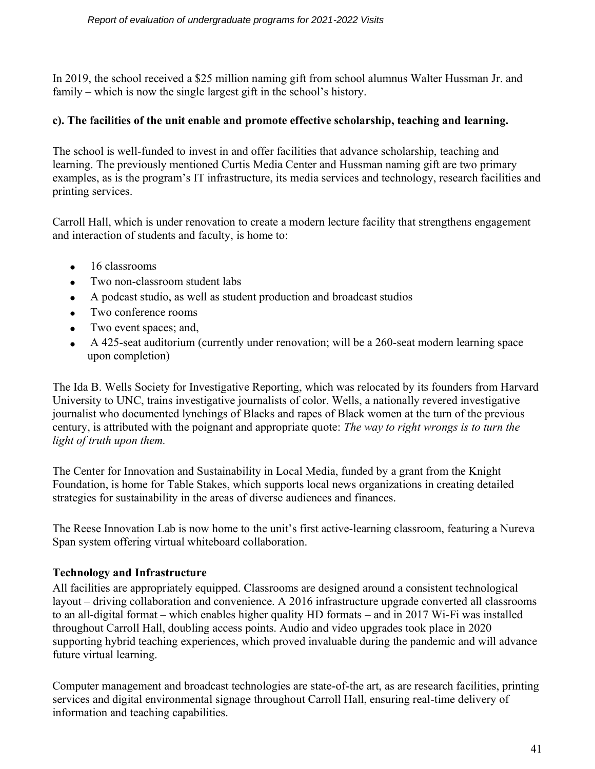In 2019, the school received a \$25 million naming gift from school alumnus Walter Hussman Jr. and family – which is now the single largest gift in the school's history.

#### **c). The facilities of the unit enable and promote effective scholarship, teaching and learning.**

The school is well-funded to invest in and offer facilities that advance scholarship, teaching and learning. The previously mentioned Curtis Media Center and Hussman naming gift are two primary examples, as is the program's IT infrastructure, its media services and technology, research facilities and printing services.

Carroll Hall, which is under renovation to create a modern lecture facility that strengthens engagement and interaction of students and faculty, is home to:

- 16 classrooms
- Two non-classroom student labs
- A podcast studio, as well as student production and broadcast studios
- Two conference rooms
- Two event spaces; and,
- A 425-seat auditorium (currently under renovation; will be a 260-seat modern learning space upon completion)

The Ida B. Wells Society for Investigative Reporting, which was relocated by its founders from Harvard University to UNC, trains investigative journalists of color. Wells, a nationally revered investigative journalist who documented lynchings of Blacks and rapes of Black women at the turn of the previous century, is attributed with the poignant and appropriate quote: *The way to right wrongs is to turn the light of truth upon them.*

The Center for Innovation and Sustainability in Local Media, funded by a grant from the Knight Foundation, is home for Table Stakes, which supports local news organizations in creating detailed strategies for sustainability in the areas of diverse audiences and finances.

The Reese Innovation Lab is now home to the unit's first active-learning classroom, featuring a Nureva Span system offering virtual whiteboard collaboration.

#### **Technology and Infrastructure**

All facilities are appropriately equipped. Classrooms are designed around a consistent technological layout – driving collaboration and convenience. A 2016 infrastructure upgrade converted all classrooms to an all-digital format – which enables higher quality HD formats – and in 2017 Wi-Fi was installed throughout Carroll Hall, doubling access points. Audio and video upgrades took place in 2020 supporting hybrid teaching experiences, which proved invaluable during the pandemic and will advance future virtual learning.

Computer management and broadcast technologies are state-of-the art, as are research facilities, printing services and digital environmental signage throughout Carroll Hall, ensuring real-time delivery of information and teaching capabilities.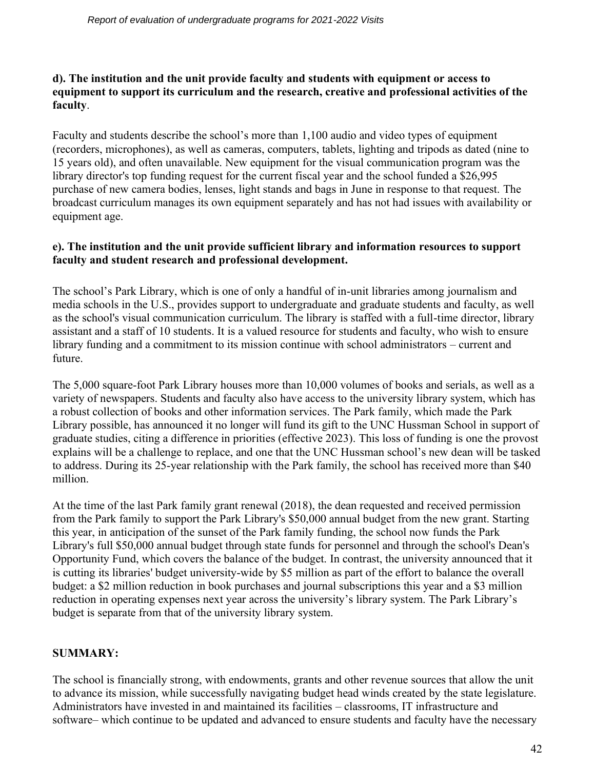#### **d). The institution and the unit provide faculty and students with equipment or access to equipment to support its curriculum and the research, creative and professional activities of the faculty**.

Faculty and students describe the school's more than 1,100 audio and video types of equipment (recorders, microphones), as well as cameras, computers, tablets, lighting and tripods as dated (nine to 15 years old), and often unavailable. New equipment for the visual communication program was the library director's top funding request for the current fiscal year and the school funded a \$26,995 purchase of new camera bodies, lenses, light stands and bags in June in response to that request. The broadcast curriculum manages its own equipment separately and has not had issues with availability or equipment age.

#### **e). The institution and the unit provide sufficient library and information resources to support faculty and student research and professional development.**

The school's Park Library, which is one of only a handful of in-unit libraries among journalism and media schools in the U.S., provides support to undergraduate and graduate students and faculty, as well as the school's visual communication curriculum. The library is staffed with a full-time director, library assistant and a staff of 10 students. It is a valued resource for students and faculty, who wish to ensure library funding and a commitment to its mission continue with school administrators – current and future.

The 5,000 square-foot Park Library houses more than 10,000 volumes of books and serials, as well as a variety of newspapers. Students and faculty also have access to the university library system, which has a robust collection of books and other information services. The Park family, which made the Park Library possible, has announced it no longer will fund its gift to the UNC Hussman School in support of graduate studies, citing a difference in priorities (effective 2023). This loss of funding is one the provost explains will be a challenge to replace, and one that the UNC Hussman school's new dean will be tasked to address. During its 25-year relationship with the Park family, the school has received more than \$40 million.

At the time of the last Park family grant renewal (2018), the dean requested and received permission from the Park family to support the Park Library's \$50,000 annual budget from the new grant. Starting this year, in anticipation of the sunset of the Park family funding, the school now funds the Park Library's full \$50,000 annual budget through state funds for personnel and through the school's Dean's Opportunity Fund, which covers the balance of the budget. In contrast, the university announced that it is cutting its libraries' budget university-wide by \$5 million as part of the effort to balance the overall budget: a \$2 million reduction in book purchases and journal subscriptions this year and a \$3 million reduction in operating expenses next year across the university's library system. The Park Library's budget is separate from that of the university library system.

## **SUMMARY:**

The school is financially strong, with endowments, grants and other revenue sources that allow the unit to advance its mission, while successfully navigating budget head winds created by the state legislature. Administrators have invested in and maintained its facilities – classrooms, IT infrastructure and software– which continue to be updated and advanced to ensure students and faculty have the necessary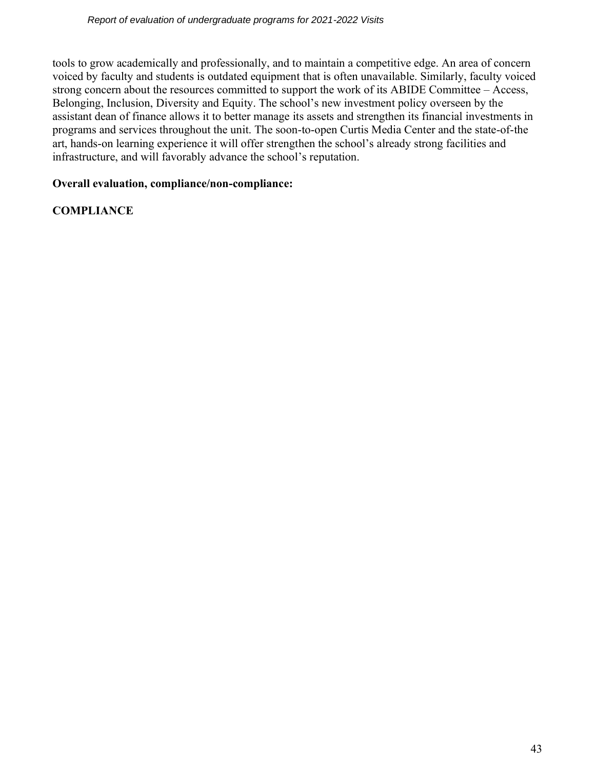tools to grow academically and professionally, and to maintain a competitive edge. An area of concern voiced by faculty and students is outdated equipment that is often unavailable. Similarly, faculty voiced strong concern about the resources committed to support the work of its ABIDE Committee – Access, Belonging, Inclusion, Diversity and Equity. The school's new investment policy overseen by the assistant dean of finance allows it to better manage its assets and strengthen its financial investments in programs and services throughout the unit. The soon-to-open Curtis Media Center and the state-of-the art, hands-on learning experience it will offer strengthen the school's already strong facilities and infrastructure, and will favorably advance the school's reputation.

### **Overall evaluation, compliance/non-compliance:**

## **COMPLIANCE**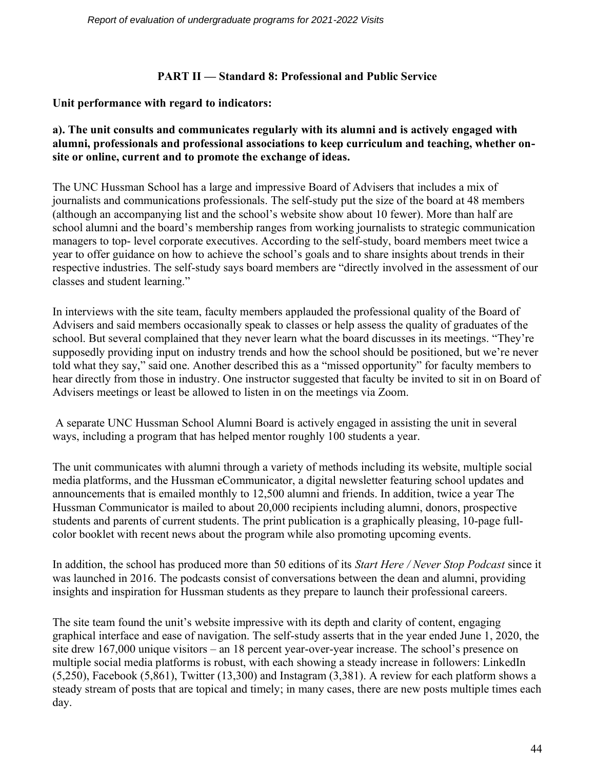#### **PART II — Standard 8: Professional and Public Service**

#### **Unit performance with regard to indicators:**

#### **a). The unit consults and communicates regularly with its alumni and is actively engaged with alumni, professionals and professional associations to keep curriculum and teaching, whether onsite or online, current and to promote the exchange of ideas.**

The UNC Hussman School has a large and impressive Board of Advisers that includes a mix of journalists and communications professionals. The self-study put the size of the board at 48 members (although an accompanying list and the school's website show about 10 fewer). More than half are school alumni and the board's membership ranges from working journalists to strategic communication managers to top- level corporate executives. According to the self-study, board members meet twice a year to offer guidance on how to achieve the school's goals and to share insights about trends in their respective industries. The self-study says board members are "directly involved in the assessment of our classes and student learning."

In interviews with the site team, faculty members applauded the professional quality of the Board of Advisers and said members occasionally speak to classes or help assess the quality of graduates of the school. But several complained that they never learn what the board discusses in its meetings. "They're supposedly providing input on industry trends and how the school should be positioned, but we're never told what they say," said one. Another described this as a "missed opportunity" for faculty members to hear directly from those in industry. One instructor suggested that faculty be invited to sit in on Board of Advisers meetings or least be allowed to listen in on the meetings via Zoom.

A separate UNC Hussman School Alumni Board is actively engaged in assisting the unit in several ways, including a program that has helped mentor roughly 100 students a year.

The unit communicates with alumni through a variety of methods including its website, multiple social media platforms, and the Hussman eCommunicator, a digital newsletter featuring school updates and announcements that is emailed monthly to 12,500 alumni and friends. In addition, twice a year The Hussman Communicator is mailed to about 20,000 recipients including alumni, donors, prospective students and parents of current students. The print publication is a graphically pleasing, 10-page fullcolor booklet with recent news about the program while also promoting upcoming events.

In addition, the school has produced more than 50 editions of its *Start Here / Never Stop Podcast* since it was launched in 2016. The podcasts consist of conversations between the dean and alumni, providing insights and inspiration for Hussman students as they prepare to launch their professional careers.

The site team found the unit's website impressive with its depth and clarity of content, engaging graphical interface and ease of navigation. The self-study asserts that in the year ended June 1, 2020, the site drew 167,000 unique visitors – an 18 percent year-over-year increase. The school's presence on multiple social media platforms is robust, with each showing a steady increase in followers: LinkedIn (5,250), Facebook (5,861), Twitter (13,300) and Instagram (3,381). A review for each platform shows a steady stream of posts that are topical and timely; in many cases, there are new posts multiple times each day.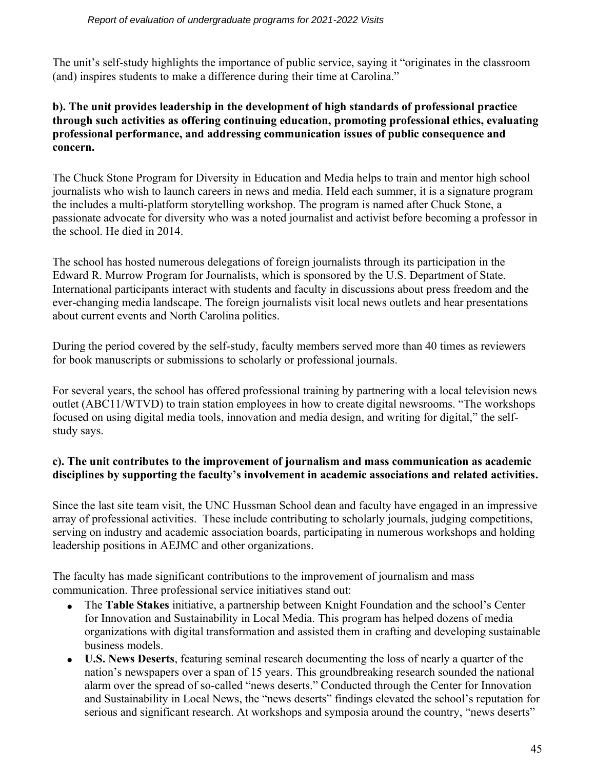The unit's self-study highlights the importance of public service, saying it "originates in the classroom (and) inspires students to make a difference during their time at Carolina."

### **b). The unit provides leadership in the development of high standards of professional practice through such activities as offering continuing education, promoting professional ethics, evaluating professional performance, and addressing communication issues of public consequence and concern.**

The Chuck Stone Program for Diversity in Education and Media helps to train and mentor high school journalists who wish to launch careers in news and media. Held each summer, it is a signature program the includes a multi-platform storytelling workshop. The program is named after Chuck Stone, a passionate advocate for diversity who was a noted journalist and activist before becoming a professor in the school. He died in 2014.

The school has hosted numerous delegations of foreign journalists through its participation in the Edward R. Murrow Program for Journalists, which is sponsored by the U.S. Department of State. International participants interact with students and faculty in discussions about press freedom and the ever-changing media landscape. The foreign journalists visit local news outlets and hear presentations about current events and North Carolina politics.

During the period covered by the self-study, faculty members served more than 40 times as reviewers for book manuscripts or submissions to scholarly or professional journals.

For several years, the school has offered professional training by partnering with a local television news outlet (ABC11/WTVD) to train station employees in how to create digital newsrooms. "The workshops focused on using digital media tools, innovation and media design, and writing for digital," the selfstudy says.

#### **c). The unit contributes to the improvement of journalism and mass communication as academic disciplines by supporting the faculty's involvement in academic associations and related activities.**

Since the last site team visit, the UNC Hussman School dean and faculty have engaged in an impressive array of professional activities. These include contributing to scholarly journals, judging competitions, serving on industry and academic association boards, participating in numerous workshops and holding leadership positions in AEJMC and other organizations.

The faculty has made significant contributions to the improvement of journalism and mass communication. Three professional service initiatives stand out:

- The **Table Stakes** initiative, a partnership between Knight Foundation and the school's Center for Innovation and Sustainability in Local Media. This program has helped dozens of media organizations with digital transformation and assisted them in crafting and developing sustainable business models.
- **U.S. News Deserts**, featuring seminal research documenting the loss of nearly a quarter of the nation's newspapers over a span of 15 years. This groundbreaking research sounded the national alarm over the spread of so-called "news deserts." Conducted through the Center for Innovation and Sustainability in Local News, the "news deserts" findings elevated the school's reputation for serious and significant research. At workshops and symposia around the country, "news deserts"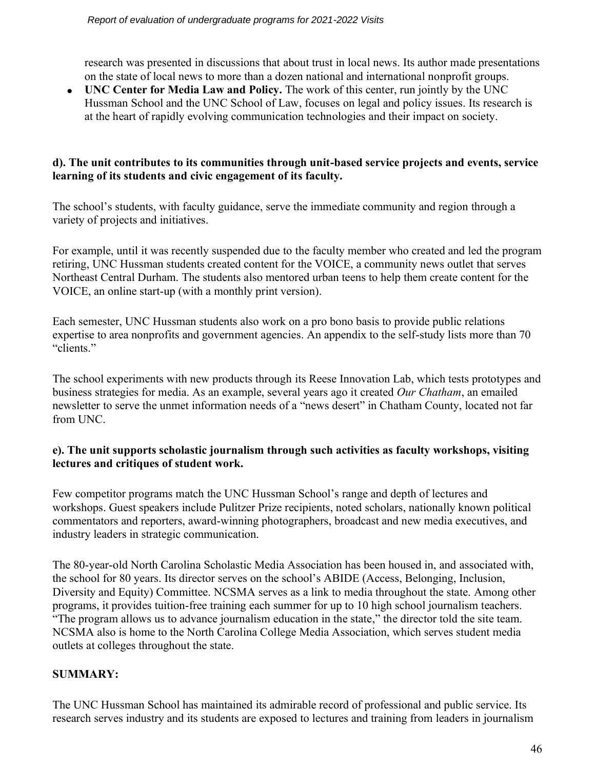research was presented in discussions that about trust in local news. Its author made presentations on the state of local news to more than a dozen national and international nonprofit groups.

• **UNC Center for Media Law and Policy.** The work of this center, run jointly by the UNC Hussman School and the UNC School of Law, focuses on legal and policy issues. Its research is at the heart of rapidly evolving communication technologies and their impact on society.

### **d). The unit contributes to its communities through unit-based service projects and events, service learning of its students and civic engagement of its faculty.**

The school's students, with faculty guidance, serve the immediate community and region through a variety of projects and initiatives.

For example, until it was recently suspended due to the faculty member who created and led the program retiring, UNC Hussman students created content for the VOICE, a community news outlet that serves Northeast Central Durham. The students also mentored urban teens to help them create content for the VOICE, an online start-up (with a monthly print version).

Each semester, UNC Hussman students also work on a pro bono basis to provide public relations expertise to area nonprofits and government agencies. An appendix to the self-study lists more than 70 "clients."

The school experiments with new products through its Reese Innovation Lab, which tests prototypes and business strategies for media. As an example, several years ago it created *Our Chatham*, an emailed newsletter to serve the unmet information needs of a "news desert" in Chatham County, located not far from UNC.

#### **e). The unit supports scholastic journalism through such activities as faculty workshops, visiting lectures and critiques of student work.**

Few competitor programs match the UNC Hussman School's range and depth of lectures and workshops. Guest speakers include Pulitzer Prize recipients, noted scholars, nationally known political commentators and reporters, award-winning photographers, broadcast and new media executives, and industry leaders in strategic communication.

The 80-year-old North Carolina Scholastic Media Association has been housed in, and associated with, the school for 80 years. Its director serves on the school's ABIDE (Access, Belonging, Inclusion, Diversity and Equity) Committee. NCSMA serves as a link to media throughout the state. Among other programs, it provides tuition-free training each summer for up to 10 high school journalism teachers. "The program allows us to advance journalism education in the state," the director told the site team. NCSMA also is home to the North Carolina College Media Association, which serves student media outlets at colleges throughout the state.

## **SUMMARY:**

The UNC Hussman School has maintained its admirable record of professional and public service. Its research serves industry and its students are exposed to lectures and training from leaders in journalism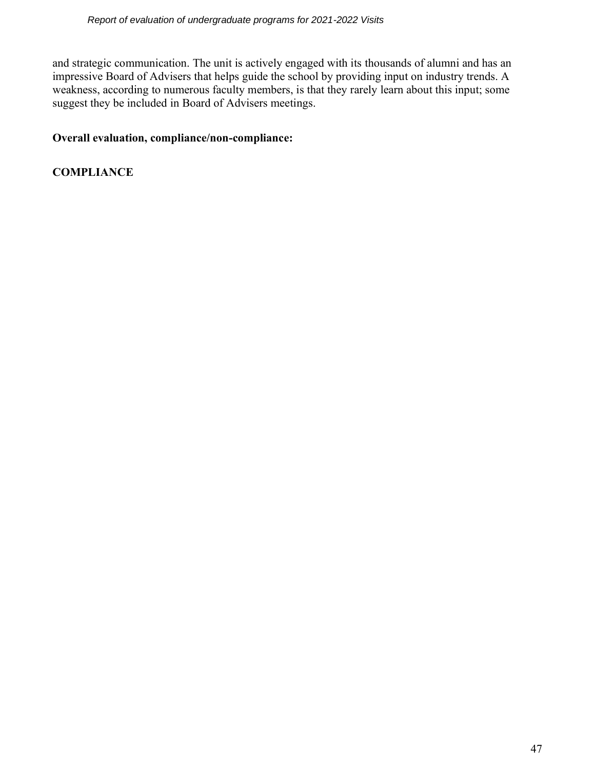and strategic communication. The unit is actively engaged with its thousands of alumni and has an impressive Board of Advisers that helps guide the school by providing input on industry trends. A weakness, according to numerous faculty members, is that they rarely learn about this input; some suggest they be included in Board of Advisers meetings.

#### **Overall evaluation, compliance/non-compliance:**

**COMPLIANCE**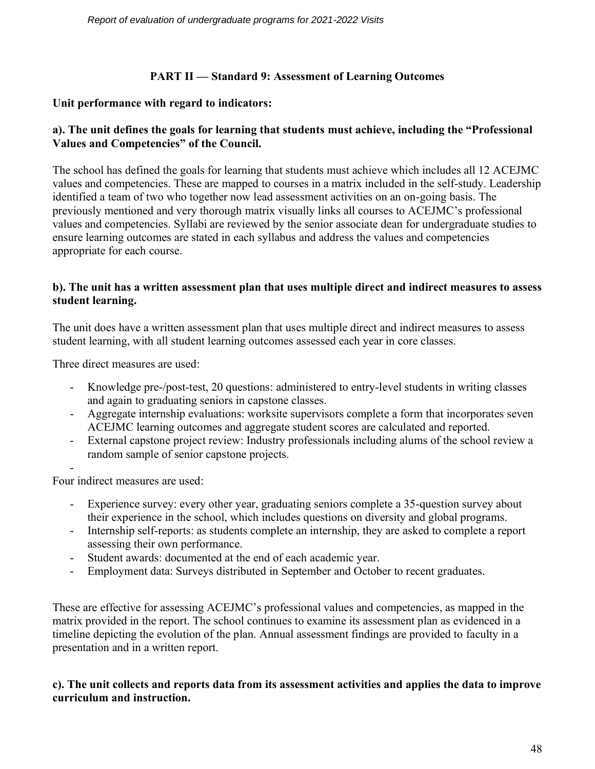### **PART II — Standard 9: Assessment of Learning Outcomes**

#### **Unit performance with regard to indicators:**

### **a). The unit defines the goals for learning that students must achieve, including the "Professional Values and Competencies" of the Council.**

The school has defined the goals for learning that students must achieve which includes all 12 ACEJMC values and competencies. These are mapped to courses in a matrix included in the self-study. Leadership identified a team of two who together now lead assessment activities on an on-going basis. The previously mentioned and very thorough matrix visually links all courses to ACEJMC's professional values and competencies. Syllabi are reviewed by the senior associate dean for undergraduate studies to ensure learning outcomes are stated in each syllabus and address the values and competencies appropriate for each course.

#### **b). The unit has a written assessment plan that uses multiple direct and indirect measures to assess student learning.**

The unit does have a written assessment plan that uses multiple direct and indirect measures to assess student learning, with all student learning outcomes assessed each year in core classes.

Three direct measures are used:

- Knowledge pre-/post-test, 20 questions: administered to entry-level students in writing classes and again to graduating seniors in capstone classes.
- Aggregate internship evaluations: worksite supervisors complete a form that incorporates seven ACEJMC learning outcomes and aggregate student scores are calculated and reported.
- External capstone project review: Industry professionals including alums of the school review a random sample of senior capstone projects.

- Four indirect measures are used:

- Experience survey: every other year, graduating seniors complete a 35-question survey about their experience in the school, which includes questions on diversity and global programs.
- Internship self-reports: as students complete an internship, they are asked to complete a report assessing their own performance.
- Student awards: documented at the end of each academic year.
- Employment data: Surveys distributed in September and October to recent graduates.

These are effective for assessing ACEJMC's professional values and competencies, as mapped in the matrix provided in the report. The school continues to examine its assessment plan as evidenced in a timeline depicting the evolution of the plan. Annual assessment findings are provided to faculty in a presentation and in a written report.

#### **c). The unit collects and reports data from its assessment activities and applies the data to improve curriculum and instruction.**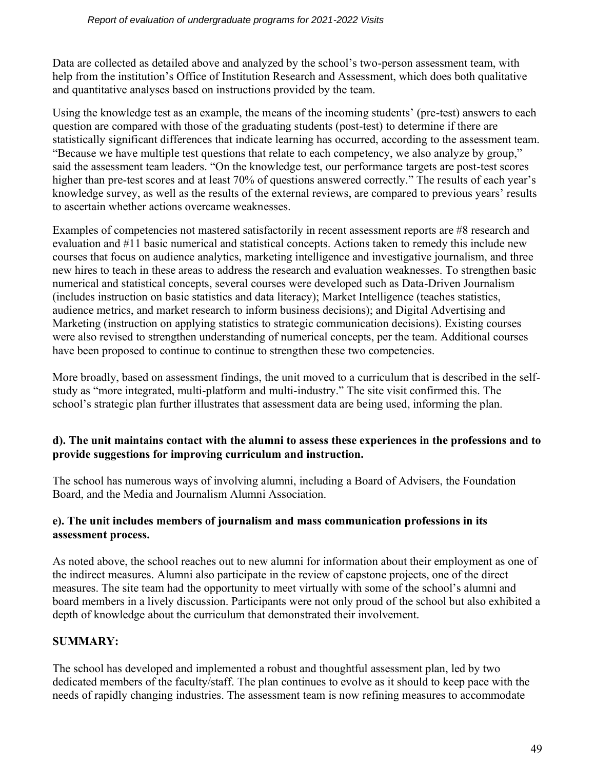Data are collected as detailed above and analyzed by the school's two-person assessment team, with help from the institution's Office of Institution Research and Assessment, which does both qualitative and quantitative analyses based on instructions provided by the team.

Using the knowledge test as an example, the means of the incoming students' (pre-test) answers to each question are compared with those of the graduating students (post-test) to determine if there are statistically significant differences that indicate learning has occurred, according to the assessment team. "Because we have multiple test questions that relate to each competency, we also analyze by group," said the assessment team leaders. "On the knowledge test, our performance targets are post-test scores higher than pre-test scores and at least 70% of questions answered correctly." The results of each year's knowledge survey, as well as the results of the external reviews, are compared to previous years' results to ascertain whether actions overcame weaknesses.

Examples of competencies not mastered satisfactorily in recent assessment reports are #8 research and evaluation and #11 basic numerical and statistical concepts. Actions taken to remedy this include new courses that focus on audience analytics, marketing intelligence and investigative journalism, and three new hires to teach in these areas to address the research and evaluation weaknesses. To strengthen basic numerical and statistical concepts, several courses were developed such as Data-Driven Journalism (includes instruction on basic statistics and data literacy); Market Intelligence (teaches statistics, audience metrics, and market research to inform business decisions); and Digital Advertising and Marketing (instruction on applying statistics to strategic communication decisions). Existing courses were also revised to strengthen understanding of numerical concepts, per the team. Additional courses have been proposed to continue to continue to strengthen these two competencies.

More broadly, based on assessment findings, the unit moved to a curriculum that is described in the selfstudy as "more integrated, multi-platform and multi-industry." The site visit confirmed this. The school's strategic plan further illustrates that assessment data are being used, informing the plan.

#### **d). The unit maintains contact with the alumni to assess these experiences in the professions and to provide suggestions for improving curriculum and instruction.**

The school has numerous ways of involving alumni, including a Board of Advisers, the Foundation Board, and the Media and Journalism Alumni Association.

#### **e). The unit includes members of journalism and mass communication professions in its assessment process.**

As noted above, the school reaches out to new alumni for information about their employment as one of the indirect measures. Alumni also participate in the review of capstone projects, one of the direct measures. The site team had the opportunity to meet virtually with some of the school's alumni and board members in a lively discussion. Participants were not only proud of the school but also exhibited a depth of knowledge about the curriculum that demonstrated their involvement.

## **SUMMARY:**

The school has developed and implemented a robust and thoughtful assessment plan, led by two dedicated members of the faculty/staff. The plan continues to evolve as it should to keep pace with the needs of rapidly changing industries. The assessment team is now refining measures to accommodate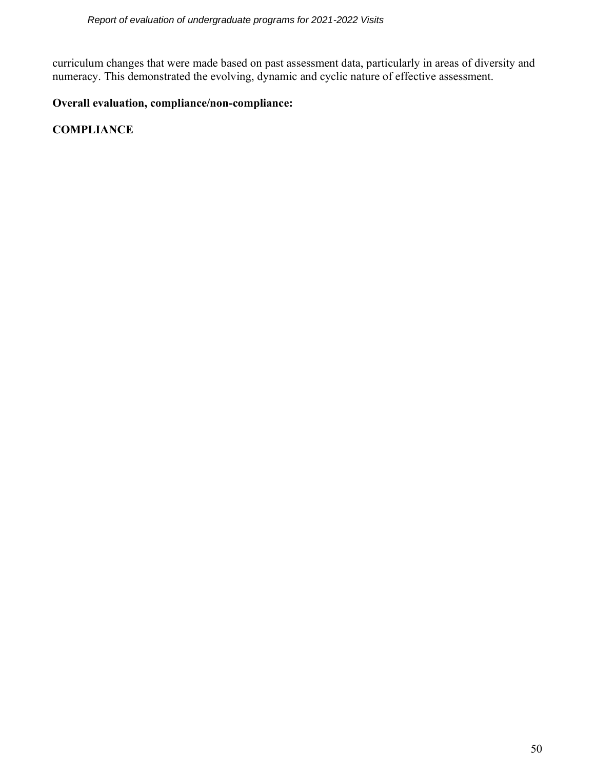curriculum changes that were made based on past assessment data, particularly in areas of diversity and numeracy. This demonstrated the evolving, dynamic and cyclic nature of effective assessment.

## **Overall evaluation, compliance/non-compliance:**

**COMPLIANCE**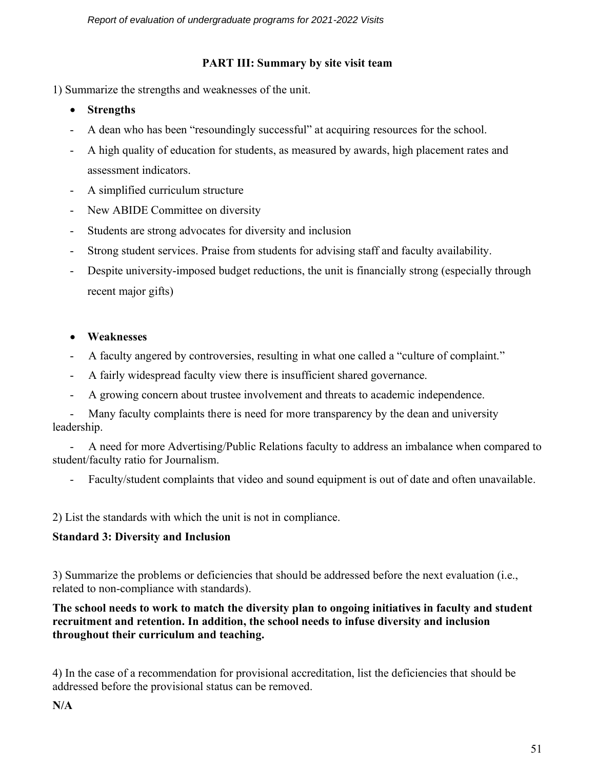### **PART III: Summary by site visit team**

1) Summarize the strengths and weaknesses of the unit.

- **Strengths**
- A dean who has been "resoundingly successful" at acquiring resources for the school.
- A high quality of education for students, as measured by awards, high placement rates and assessment indicators.
- A simplified curriculum structure
- New ABIDE Committee on diversity
- Students are strong advocates for diversity and inclusion
- Strong student services. Praise from students for advising staff and faculty availability.
- Despite university-imposed budget reductions, the unit is financially strong (especially through recent major gifts)
- **Weaknesses**
- A faculty angered by controversies, resulting in what one called a "culture of complaint."
- A fairly widespread faculty view there is insufficient shared governance.
- A growing concern about trustee involvement and threats to academic independence.

Many faculty complaints there is need for more transparency by the dean and university leadership.

 - A need for more Advertising/Public Relations faculty to address an imbalance when compared to student/faculty ratio for Journalism.

- Faculty/student complaints that video and sound equipment is out of date and often unavailable.

2) List the standards with which the unit is not in compliance.

## **Standard 3: Diversity and Inclusion**

3) Summarize the problems or deficiencies that should be addressed before the next evaluation (i.e., related to non-compliance with standards).

**The school needs to work to match the diversity plan to ongoing initiatives in faculty and student recruitment and retention. In addition, the school needs to infuse diversity and inclusion throughout their curriculum and teaching.**

4) In the case of a recommendation for provisional accreditation, list the deficiencies that should be addressed before the provisional status can be removed.